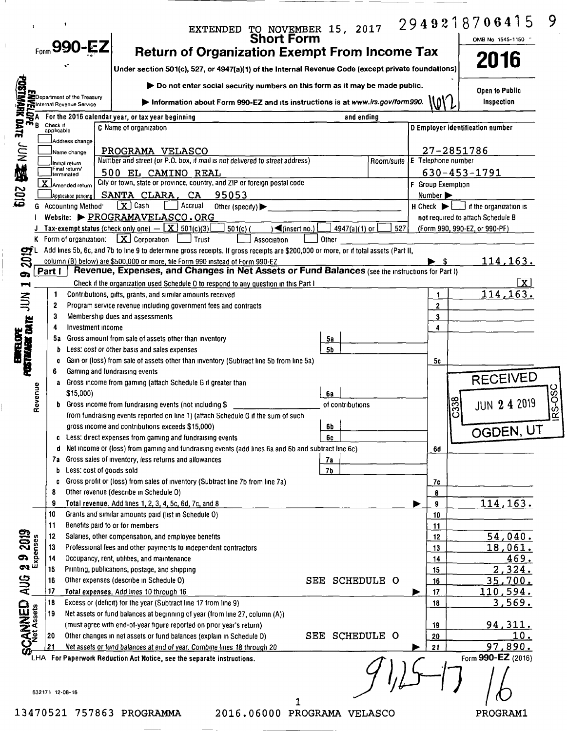|                                 |          |                                                                                                                                                                                                                                      |                                                                                                                                                                                  | EXTENDED TO NOVEMBER 15, 2017<br>Short Form     |                                             | 2949218706415<br>9                                                  |        |
|---------------------------------|----------|--------------------------------------------------------------------------------------------------------------------------------------------------------------------------------------------------------------------------------------|----------------------------------------------------------------------------------------------------------------------------------------------------------------------------------|-------------------------------------------------|---------------------------------------------|---------------------------------------------------------------------|--------|
|                                 |          | $F_{\text{form}}$ 990-EZ                                                                                                                                                                                                             |                                                                                                                                                                                  |                                                 |                                             | OMB No 1545-1150                                                    |        |
|                                 |          |                                                                                                                                                                                                                                      | <b>Return of Organization Exempt From Income Tax</b>                                                                                                                             |                                                 |                                             | 2016                                                                |        |
|                                 |          |                                                                                                                                                                                                                                      | Under section 501(c), 527, or 4947(a)(1) of the Internal Revenue Code (except private foundations)                                                                               |                                                 |                                             |                                                                     |        |
|                                 |          |                                                                                                                                                                                                                                      | Do not enter social security numbers on this form as it may be made public.                                                                                                      |                                                 |                                             | <b>Open to Public</b>                                               |        |
|                                 |          | <b>EXAMPLE THE CONSTRAINING SCIENCE AND RESPONSIVE SERVICE SCIENCE AND RESPONSIVE SCIENCE AND RESPONSIVE SCIENCE AND RESPONSIVE SCIENCE AND RESPONSIVE SCIENCE AND RESPONSIVE SCIENCE AND RESPONSIVE SCIENCE AND RESPONSIVE SCIE</b> | Information about Form 990-EZ and its instructions is at www.irs.gov/form990.                                                                                                    |                                                 | \O\                                         | Inspection                                                          |        |
|                                 |          |                                                                                                                                                                                                                                      | For the 2016 calendar year, or tax year beginning                                                                                                                                | and ending                                      |                                             |                                                                     |        |
|                                 |          |                                                                                                                                                                                                                                      | C Name of organization                                                                                                                                                           |                                                 |                                             | D Employer identification number                                    |        |
|                                 |          | Address change                                                                                                                                                                                                                       |                                                                                                                                                                                  |                                                 |                                             |                                                                     |        |
| <b>图</b><br>1011                |          | Name change<br>Initial return                                                                                                                                                                                                        | PROGRAMA VELASCO<br>Number and street (or P.O. box, if mail is not delivered to street address)                                                                                  |                                                 | 27-2851786<br>Room/suite E Telephone number |                                                                     |        |
|                                 |          | Final return/<br>terminated                                                                                                                                                                                                          | 500 EL CAMINO REAL                                                                                                                                                               |                                                 |                                             | $630 - 453 - 1791$                                                  |        |
|                                 |          | X Amended return                                                                                                                                                                                                                     | City or town, state or province, country, and ZIP or foreign postal code                                                                                                         |                                                 | F Group Exemption                           |                                                                     |        |
| <b>2019</b>                     |          | Application pending                                                                                                                                                                                                                  | SANTA CLARA, CA 95053                                                                                                                                                            |                                                 | Number >                                    |                                                                     |        |
|                                 |          | G Accounting Method                                                                                                                                                                                                                  | $\boxed{\mathbf{X}}$ Cash<br>Accrual<br>Other (specify) $\blacktriangleright$<br>Website: PROGRAMAVELASCO.ORG                                                                    |                                                 | $H$ Check $\blacktriangleright$             | $\perp$ if the organization is<br>not required to attach Schedule B |        |
|                                 |          |                                                                                                                                                                                                                                      | <b>Tax-exempt status (check only one)</b> $-\boxed{\mathbf{X}}$ 501(c)(3)<br>$501(c)$ (                                                                                          | $\sqrt{(\text{insert no.})}$<br>4947(a)(1) or 1 | 527                                         | (Form 990, 990-EZ, or 990-PF)                                       |        |
|                                 |          |                                                                                                                                                                                                                                      | K Form of organization: $X$ Corporation $\Box$ Trust<br>Association                                                                                                              | Other                                           |                                             |                                                                     |        |
| 2019                            |          |                                                                                                                                                                                                                                      | Add lines 5b, 6c, and 7b to line 9 to determine gross receipts. If gross receipts are \$200,000 or more, or if total assets (Part II,                                            |                                                 |                                             |                                                                     |        |
|                                 |          |                                                                                                                                                                                                                                      | column (B) below) are \$500,000 or more, file Form 990 instead of Form 990-EZ<br>Revenue, Expenses, and Changes in Net Assets or Fund Balances (see the instructions for Part I) |                                                 |                                             | <u> 114,163.</u>                                                    |        |
| σ.                              | Part I   |                                                                                                                                                                                                                                      | Check if the organization used Schedule 0 to respond to any question in this Part I                                                                                              |                                                 |                                             | $\mathbf{X}$                                                        |        |
|                                 |          |                                                                                                                                                                                                                                      | Contributions, gifts, grants, and similar amounts received                                                                                                                       |                                                 | 1                                           | 114, 163.                                                           |        |
| $\Xi$                           | 2        |                                                                                                                                                                                                                                      | Program service revenue including government fees and contracts                                                                                                                  |                                                 | $\overline{2}$                              |                                                                     |        |
|                                 | 3        |                                                                                                                                                                                                                                      | Membership dues and assessments                                                                                                                                                  |                                                 | 3                                           |                                                                     |        |
| <b>POSTMANE CATE</b>            |          | Investment income                                                                                                                                                                                                                    |                                                                                                                                                                                  |                                                 | $\overline{\mathbf{4}}$                     |                                                                     |        |
| <b>NBLOPE</b>                   |          | b                                                                                                                                                                                                                                    | 5a Gross amount from sale of assets other than inventory<br>Less: cost or other basis and sales expenses                                                                         | 5а<br>5b                                        |                                             |                                                                     |        |
| ٦                               |          | c                                                                                                                                                                                                                                    | Gain or (loss) from sale of assets other than inventory (Subtract line 5b from line 5a)                                                                                          |                                                 | 5c                                          |                                                                     |        |
|                                 | 6        |                                                                                                                                                                                                                                      | Gaming and fundraising events                                                                                                                                                    |                                                 |                                             |                                                                     |        |
|                                 |          | a                                                                                                                                                                                                                                    | Gross income from gaming (attach Schedule G if greater than                                                                                                                      |                                                 |                                             | <b>RECEIVED</b>                                                     |        |
|                                 | Revenue  | \$15,000)                                                                                                                                                                                                                            |                                                                                                                                                                                  | 6a                                              |                                             |                                                                     | RS-OSC |
|                                 |          |                                                                                                                                                                                                                                      | <b>b</b> Gross income from fundraising events (not including \$<br>from fundraising events reported on line 1) (attach Schedule G if the sum of such                             | of contributions                                | $\overline{C}338$                           | <b>JUN 2 4 2019</b>                                                 |        |
|                                 |          |                                                                                                                                                                                                                                      | gross income and contributions exceeds \$15,000)                                                                                                                                 | 6b                                              |                                             |                                                                     |        |
|                                 |          | c                                                                                                                                                                                                                                    | Less: direct expenses from gaming and fundraising events                                                                                                                         | 6с                                              |                                             | OGDEN, UT                                                           |        |
|                                 |          | d                                                                                                                                                                                                                                    | Net income or (loss) from gaming and fundraising events (add lines 6a and 6b and subtract line 6c)                                                                               |                                                 | 6d                                          |                                                                     |        |
|                                 |          |                                                                                                                                                                                                                                      | 7a Gross sales of inventory, less returns and allowances                                                                                                                         | 7а                                              |                                             |                                                                     |        |
|                                 |          | b                                                                                                                                                                                                                                    | Less: cost of goods sold                                                                                                                                                         | <b>7b</b>                                       |                                             |                                                                     |        |
|                                 | 8        | c                                                                                                                                                                                                                                    | Gross profit or (loss) from sales of inventory (Subtract line 7b from line 7a)<br>Other revenue (describe in Schedule O)                                                         |                                                 | 7c<br>8                                     |                                                                     |        |
|                                 | 9        |                                                                                                                                                                                                                                      | Total revenue. Add lines 1, 2, 3, 4, 5c, 6d, 7c, and 8                                                                                                                           |                                                 | 9                                           | 114,163.                                                            |        |
|                                 | 10       |                                                                                                                                                                                                                                      | Grants and similar amounts paid (list in Schedule O)                                                                                                                             |                                                 | 10                                          |                                                                     |        |
|                                 | 11       |                                                                                                                                                                                                                                      | Benefits paid to or for members                                                                                                                                                  |                                                 | 11                                          |                                                                     |        |
|                                 | 12       |                                                                                                                                                                                                                                      | Salaries, other compensation, and employee benefits                                                                                                                              |                                                 | 12                                          | 54,040.                                                             |        |
|                                 | 13<br>14 |                                                                                                                                                                                                                                      | Professional fees and other payments to independent contractors                                                                                                                  |                                                 | 13                                          | 18,061.<br>469.                                                     |        |
| $292019$<br>Expenses            | 15       |                                                                                                                                                                                                                                      | Occupancy, rent, utilities, and maintenance<br>Printing, publications, postage, and shipping                                                                                     |                                                 | 14<br>15                                    | 2,324.                                                              |        |
|                                 | 16       |                                                                                                                                                                                                                                      | Other expenses (describe in Schedule O)                                                                                                                                          | SEE<br><b>SCHEDULE O</b>                        | 16                                          | 35,700.                                                             |        |
| AUG                             | -17      |                                                                                                                                                                                                                                      | Total expenses. Add lines 10 through 16                                                                                                                                          |                                                 | 17<br>⋗                                     | <u>110,594.</u>                                                     |        |
|                                 | 18       |                                                                                                                                                                                                                                      | Excess or (deficit) for the year (Subtract line 17 from line 9)                                                                                                                  |                                                 | 18                                          | <u>3,569.</u>                                                       |        |
|                                 | 19       |                                                                                                                                                                                                                                      | Net assets or fund balances at beginning of year (from line 27, column (A))                                                                                                      |                                                 |                                             |                                                                     |        |
|                                 | 20       |                                                                                                                                                                                                                                      | (must agree with end-of-year figure reported on prior year's return)<br>Other changes in net assets or fund balances (explain in Schedule O)                                     | SEE SCHEDULE O                                  | 19<br>20                                    | <u>94,311.</u><br>10.                                               |        |
| <b>SCANNED</b><br>Fl Net Assets | 21       |                                                                                                                                                                                                                                      | Net assets or fund balances at end of year. Combine lines_18 through 20                                                                                                          |                                                 | 21                                          | 97,890.                                                             |        |
|                                 |          |                                                                                                                                                                                                                                      | LHA For Paperwork Reduction Act Notice, see the separate instructions.                                                                                                           |                                                 |                                             | Form 990-EZ (2016)                                                  |        |
|                                 |          |                                                                                                                                                                                                                                      |                                                                                                                                                                                  |                                                 |                                             |                                                                     |        |
|                                 |          |                                                                                                                                                                                                                                      |                                                                                                                                                                                  |                                                 |                                             |                                                                     |        |
|                                 |          | 632171 12 08-16                                                                                                                                                                                                                      |                                                                                                                                                                                  |                                                 |                                             |                                                                     |        |
|                                 |          |                                                                                                                                                                                                                                      | 13470521 757863 PROGRAMMA                                                                                                                                                        | 2016.06000 PROGRAMA VELASCO                     |                                             | PROGRAM1                                                            |        |
|                                 |          |                                                                                                                                                                                                                                      |                                                                                                                                                                                  |                                                 |                                             |                                                                     |        |

 $\bar{1}$ 

 $\frac{1}{4}$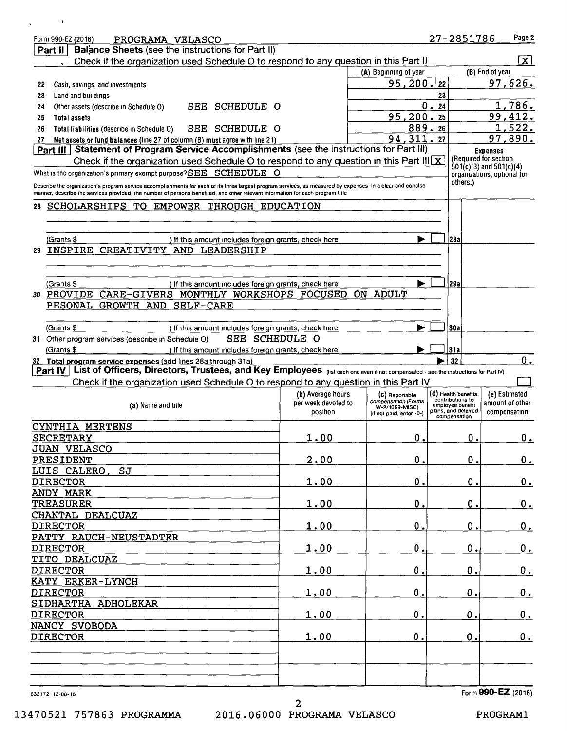|     | Form 990-EZ (2016)<br>PROGRAMA VELASCO                                                                                                                     |                     |                                       | 27-2851786                           | Page 2                                                     |
|-----|------------------------------------------------------------------------------------------------------------------------------------------------------------|---------------------|---------------------------------------|--------------------------------------|------------------------------------------------------------|
|     | <b>Balance Sheets (see the instructions for Part II)</b><br>Part il                                                                                        |                     |                                       |                                      |                                                            |
|     | Check if the organization used Schedule O to respond to any question in this Part II                                                                       |                     |                                       |                                      | $\mathbf{X}$                                               |
|     |                                                                                                                                                            |                     | (A) Beginning of year                 |                                      | (B) End of year                                            |
| 22  | Cash, savings, and investments                                                                                                                             |                     | 95,200.                               | 22                                   | 97,626.                                                    |
| 23  | Land and buildings                                                                                                                                         |                     |                                       | 23                                   |                                                            |
| 24  | SCHEDULE O<br>Other assets (describe in Schedule O)<br>SEE                                                                                                 |                     | 0                                     | 24                                   | 1,786.                                                     |
| 25  | <b>Total assets</b>                                                                                                                                        |                     | 95,200                                | 25                                   | 99,412.                                                    |
| 26  | SEE SCHEDULE O<br>Total liabilities (describe in Schedule O)                                                                                               |                     | 889.                                  | 26                                   | 1,522.                                                     |
| 27  | Net assets or fund balances (line 27 of column (B) must agree with line 21)                                                                                |                     | 94,311.                               | 27                                   | 97,890.                                                    |
|     | Part III   Statement of Program Service Accomplishments (see the instructions for Part III)                                                                |                     |                                       |                                      | <b>Expenses</b>                                            |
|     | Check if the organization used Schedule O to respond to any question in this Part III $\chi$                                                               |                     |                                       |                                      | (Required for section                                      |
|     | What is the organization's primary exempt purpose?SEE SCHEDULE O                                                                                           |                     |                                       |                                      | $501(c)(3)$ and $501(c)(4)$<br>organizations, optional for |
|     | Describe the organization's program service accomplishments for each of its three largest program services, as measured by expenses In a clear and concise |                     |                                       | others.)                             |                                                            |
|     | manner, describe the services provided, the number of persons benefited, and other relevant information for each program title                             |                     |                                       |                                      |                                                            |
| 28. | SCHOLARSHIPS TO EMPOWER THROUGH EDUCATION                                                                                                                  |                     |                                       |                                      |                                                            |
|     |                                                                                                                                                            |                     |                                       |                                      |                                                            |
|     |                                                                                                                                                            |                     |                                       |                                      |                                                            |
|     | (Grants \$<br>) If this amount includes foreign grants, check here                                                                                         |                     |                                       | 28a                                  |                                                            |
| 29. | INSPIRE CREATIVITY AND LEADERSHIP                                                                                                                          |                     |                                       |                                      |                                                            |
|     |                                                                                                                                                            |                     |                                       |                                      |                                                            |
|     |                                                                                                                                                            |                     |                                       |                                      |                                                            |
|     | (Grants \$<br>) If this amount includes foreign grants, check here                                                                                         |                     |                                       | l29a                                 |                                                            |
|     | 30 PROVIDE CARE-GIVERS MONTHLY WORKSHOPS FOCUSED                                                                                                           |                     | ON ADULT                              |                                      |                                                            |
|     | PESONAL GROWTH AND SELF-CARE                                                                                                                               |                     |                                       |                                      |                                                            |
|     |                                                                                                                                                            |                     |                                       |                                      |                                                            |
|     | (Grants \$<br>) If this amount includes foreign grants, check here                                                                                         |                     |                                       | 30a                                  |                                                            |
|     | SEE SCHEDULE O<br>31 Other program services (describe in Schedule O)                                                                                       |                     |                                       |                                      |                                                            |
|     | (Grants \$<br>) If this amount includes foreign grants, check here                                                                                         |                     |                                       | 31a                                  |                                                            |
|     | 32 Total program service expenses (add lines 28a through 31a)                                                                                              |                     |                                       | 32                                   | $0$ .                                                      |
|     | List of Officers, Directors, Trustees, and Key Employees (Ilst each one even if not compensated - see the instructions for Part M)<br>Part IV              |                     |                                       |                                      |                                                            |
|     | Check if the organization used Schedule O to respond to any question in this Part IV                                                                       |                     |                                       |                                      |                                                            |
|     |                                                                                                                                                            | (b) Average hours   | (C) Reportable                        | (0) Health benefits,                 | (e) Estimated                                              |
|     | (a) Name and title                                                                                                                                         | per week devoted to | compensation (Forms<br>W-2/1099-MISC) | contributions to<br>employee benefit | amount of other                                            |
|     |                                                                                                                                                            | position            | (if not paid, enter -0-)              | plans, and deferred<br>compensation  | compensation                                               |
|     | CYNTHIA MERTENS                                                                                                                                            |                     |                                       |                                      |                                                            |
|     | <b>SECRETARY</b>                                                                                                                                           | 1.00                | 0.                                    | О.                                   | $0_{\cdot}$                                                |
|     | <b>JUAN VELASCO</b>                                                                                                                                        |                     |                                       |                                      |                                                            |
|     | PRESIDENT                                                                                                                                                  | 2.00                | $\mathbf 0$ .                         | 0.                                   | <u>0.</u>                                                  |
|     | LUIS CALERO,<br>SJ                                                                                                                                         |                     |                                       |                                      |                                                            |
|     | <b>DIRECTOR</b>                                                                                                                                            | 1.00                | 0.                                    | 0.                                   | 0.                                                         |
|     | ANDY MARK                                                                                                                                                  |                     |                                       |                                      |                                                            |
|     | <b>TREASURER</b>                                                                                                                                           | 1.00                | 0.                                    | 0.                                   |                                                            |
|     | CHANTAL DEALCUAZ                                                                                                                                           |                     |                                       |                                      |                                                            |
|     |                                                                                                                                                            |                     |                                       |                                      | <u>0.</u>                                                  |
|     |                                                                                                                                                            |                     |                                       |                                      |                                                            |
|     | <b>DIRECTOR</b>                                                                                                                                            | 1.00                | 0.                                    | 0.                                   | 0.                                                         |
|     | PATTY RAUCH-NEUSTADTER                                                                                                                                     |                     |                                       |                                      |                                                            |
|     | <b>DIRECTOR</b>                                                                                                                                            | <u>1.00</u>         | Ο.                                    | О.                                   | <u>0.</u>                                                  |
|     | TITO DEALCUAZ                                                                                                                                              |                     |                                       |                                      |                                                            |
|     | <b>DIRECTOR</b>                                                                                                                                            | <u>1.00</u>         | 0.                                    | $\mathbf 0$ .                        | 0.                                                         |
|     | KATY ERKER-LYNCH                                                                                                                                           |                     |                                       |                                      |                                                            |
|     | <b>DIRECTOR</b>                                                                                                                                            | <u>1,00</u>         | 0.                                    | 0.                                   | 0.                                                         |
|     | SIDHARTHA ADHOLEKAR                                                                                                                                        |                     |                                       |                                      |                                                            |
|     | <b>DIRECTOR</b>                                                                                                                                            | <u>1.00</u>         | 0.                                    | 0.                                   | <u>0.</u>                                                  |
|     | NANCY SVOBODA                                                                                                                                              |                     |                                       |                                      |                                                            |
|     | <b>DIRECTOR</b>                                                                                                                                            | <u>1.00</u>         | 0.                                    | 0.                                   | 0.                                                         |
|     |                                                                                                                                                            |                     |                                       |                                      |                                                            |
|     |                                                                                                                                                            |                     |                                       |                                      |                                                            |
|     |                                                                                                                                                            |                     |                                       |                                      |                                                            |
|     | 632172 12-08-16                                                                                                                                            |                     |                                       |                                      | Form 990-EZ (2016)                                         |

13470521 757863 PROGRAMMA

 $\bar{\textbf{I}}$ 

 $\ddot{\phantom{a}}$ 

PROGRAMl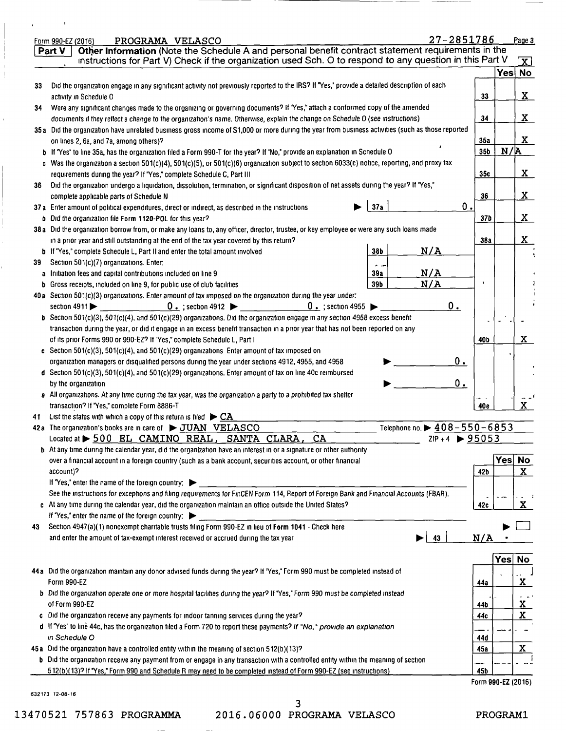|    | 27-2851786<br>Form 990-EZ (2016)<br>PROGRAMA VELASCO                                                                                              |                    |            | Page 3               |
|----|---------------------------------------------------------------------------------------------------------------------------------------------------|--------------------|------------|----------------------|
|    | Other Information (Note the Schedule A and personal benefit contract statement requirements in the<br>Part V                                      |                    |            |                      |
|    | instructions for Part V) Check if the organization used Sch. O to respond to any question in this Part V                                          |                    |            | $\boxed{\mathbf{X}}$ |
|    |                                                                                                                                                   |                    |            | Yes No               |
| 33 | Did the organization engage in any significant activity not previously reported to the IRS? If "Yes," provide a detailed description of each      |                    |            |                      |
|    | activity in Schedule O                                                                                                                            | 33                 |            | X.                   |
| 34 | Were any significant changes made to the organizing or governing documents? If "Yes," attach a conformed copy of the amended                      |                    |            |                      |
|    | documents if they reflect a change to the organization's name. Otherwise, explain the change on Schedule O (see instructions)                     | 34                 |            | X.                   |
|    | 35a Did the organization have unrelated business gross income of \$1,000 or more during the year from business activities (such as those reported |                    |            |                      |
|    | on lines 2, 6a, and 7a, among others)?                                                                                                            | 35a                |            | X                    |
|    | b If "Yes" to line 35a, has the organization filed a Form 990-T for the year? If "No," provide an explanation in Schedule O                       | 35b                | N/R        |                      |
|    | c Was the organization a section 501(c)(4), 501(c)(5), or 501(c)(6) organization subject to section 6033(e) notice, reporting, and proxy tax      |                    |            |                      |
|    | requirements during the year? If "Yes," complete Schedule C, Part III                                                                             | 35c                |            | X                    |
| 36 | Did the organization undergo a liquidation, dissolution, termination, or significant disposition of net assets during the year? If "Yes,"         |                    |            |                      |
|    | complete applicable parts of Schedule N                                                                                                           | 36                 |            | X.                   |
|    | 0.<br>37a<br>37a Enter amount of political expenditures, direct or indirect, as described in the instructions                                     |                    |            |                      |
|    | b Did the organization file Form 1120-POL for this year?                                                                                          | 37 <sub>b</sub>    |            | X.                   |
|    | 38a Did the organization borrow from, or make any loans to, any officer, director, trustee, or key employee or were any such loans made           |                    |            |                      |
|    | in a prior year and still outstanding at the end of the tax year covered by this return?                                                          | <b>38a</b>         |            | X.                   |
|    | N/A<br>38b<br><b>b</b> If "Yes," complete Schedule L, Part II and enter the total amount involved                                                 |                    |            |                      |
| 39 | Section 501(c)(7) organizations. Enter:                                                                                                           |                    |            |                      |
|    | N/A<br>a Initiation fees and capital contributions included on line 9<br>39a                                                                      |                    |            |                      |
|    | N/A<br>39b<br><b>b</b> Gross receipts, included on line 9, for public use of club facilities                                                      |                    |            |                      |
|    | 40a Section 501(c)(3) organizations. Enter amount of tax imposed on the organization during the year under:                                       |                    |            |                      |
|    | $0.$ ; section 4955<br>0.<br>section $4911$<br>$0.$ ; section 4912                                                                                |                    |            |                      |
|    | b Section 501(c)(3), 501(c)(4), and 501(c)(29) organizations. Did the organization engage in any section 4958 excess benefit                      |                    |            |                      |
|    | transaction during the year, or did it engage in an excess benefit transaction in a prior year that has not been reported on any                  |                    |            |                      |
|    | of its prior Forms 990 or 990-EZ? If "Yes," complete Schedule L, Part I                                                                           | 40b                |            | X.                   |
|    |                                                                                                                                                   |                    |            |                      |
|    | c Section 501(c)(3), 501(c)(4), and 501(c)(29) organizations Enter amount of tax imposed on<br>0.                                                 |                    |            |                      |
|    | organization managers or disqualified persons during the year under sections 4912, 4955, and 4958                                                 |                    |            |                      |
|    | d Section 501(c)(3), 501(c)(4), and 501(c)(29) organizations. Enter amount of tax on line 40c reimbursed<br>$0_{\cdot}$                           |                    |            |                      |
|    | by the organization                                                                                                                               |                    |            |                      |
|    | e All organizations. At any time during the tax year, was the organization a party to a prohibited tax shelter                                    |                    |            | $\mathbf{x}$         |
|    | transaction? If "Yes," complete Form 8886-T                                                                                                       | 40e                |            |                      |
| 41 | List the states with which a copy of this return is filed $\blacktriangleright$ CA.<br>Telephone no. $\blacktriangleright$ 408-550-6853           |                    |            |                      |
|    | 42a The organization's books are in care of DUAN VELASCO<br>$2IP + 4$ $\triangleright$ 95053                                                      |                    |            |                      |
|    | Located at > 500 EL CAMINO REAL, SANTA CLARA,<br>CA                                                                                               |                    |            |                      |
|    | b At any time during the calendar year, did the organization have an interest in or a signature or other authority                                |                    | <b>Yes</b> | <b>No</b>            |
|    | over a financial account in a foreign country (such as a bank account, securities account, or other financial                                     |                    |            | $\mathbf{x}$         |
|    | account)?                                                                                                                                         | 42b                |            |                      |
|    | If "Yes," enter the name of the foreign country: $\blacktriangleright$                                                                            |                    |            |                      |
|    | See the instructions for exceptions and filing requirements for FinCEN Form 114, Report of Foreign Bank and Financial Accounts (FBAR).            |                    |            |                      |
|    | c At any time during the calendar year, did the organization maintain an office outside the United States?                                        | 42c                |            | X                    |
|    | If "Yes," enter the name of the foreign country: $\blacktriangleright$                                                                            |                    |            |                      |
| 43 | Section 4947(a)(1) nonexempt charitable trusts filing Form 990-EZ in lieu of Form 1041 - Check here                                               |                    |            |                      |
|    | 43<br>and enter the amount of tax-exempt interest received or accrued during the tax year                                                         | N/A                |            |                      |
|    |                                                                                                                                                   |                    |            |                      |
|    |                                                                                                                                                   |                    | Yes        | <u>No</u>            |
|    | 44a Did the organization maintain any donor advised funds during the year? If "Yes," Form 990 must be completed instead of                        |                    |            |                      |
|    | Form 990-EZ                                                                                                                                       | 44a                |            | <u>x</u>             |
|    | b Did the organization operate one or more hospital facilities during the year? If "Yes," Form 990 must be completed instead                      |                    |            |                      |
|    | of Form 990-EZ                                                                                                                                    | 44b                |            | <u>x</u>             |
|    | c Did the organization receive any payments for indoor tanning services during the year?                                                          | 44c                |            | X                    |
|    | d If "Yes" to line 44c, has the organization filed a Form 720 to report these payments? If "No," provide an explanation                           |                    |            |                      |
|    | in Schedule O                                                                                                                                     | 44d                |            |                      |
|    | 45a Did the organization have a controlled entity within the meaning of section 512(b)(13)?                                                       | 45a                |            | X                    |
|    | <b>b</b> Did the organization receive any payment from or engage in any transaction with a controlled entity within the meaning of section        |                    |            |                      |
|    | 512(b)(13)? If 'Yes,' Form 990 and Schedule R may need to be completed instead of Form 990-EZ (see instructions)                                  | 45b                |            |                      |
|    |                                                                                                                                                   | Form 990-EZ (2016) |            |                      |
|    | 632173 12-08-16                                                                                                                                   |                    |            |                      |

 $\mathbf{r}$ 

 $\begin{array}{c} \rule{6mm}{2mm} \rule{2mm}{2mm} \rule{2mm}{2mm} \rule{2mm}{2mm} \rule{2mm}{2mm} \rule{2mm}{2mm} \rule{2mm}{2mm} \rule{2mm}{2mm} \rule{2mm}{2mm} \rule{2mm}{2mm} \rule{2mm}{2mm} \rule{2mm}{2mm} \rule{2mm}{2mm} \rule{2mm}{2mm} \rule{2mm}{2mm} \rule{2mm}{2mm} \rule{2mm}{2mm} \rule{2mm}{2mm} \rule{2mm}{2mm} \rule{2mm}{2mm} \rule{2mm}{2mm} \rule{2mm}{2mm} \rule{2mm}{2mm} \rule{2mm}{$ 

 $\frac{1}{2}$ 

 $\bar{1}$ 

3 13470521 757863 PROGRAMMA 2016.06000 PROGRAMA VELASCO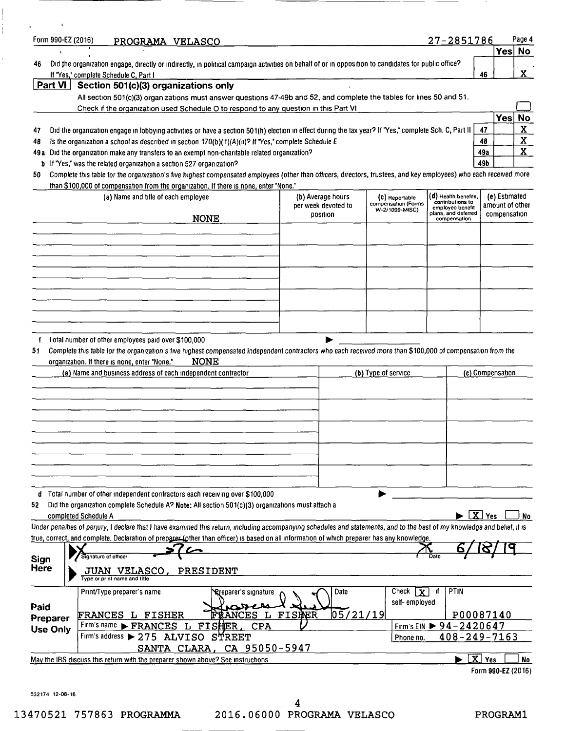| Form 990-EZ (2016)                                 | PROGRAMA VELASCO                                                                                                                                                                                                                                                   |                            |                     |                                       | 27-2851786                           | Page 4                         |
|----------------------------------------------------|--------------------------------------------------------------------------------------------------------------------------------------------------------------------------------------------------------------------------------------------------------------------|----------------------------|---------------------|---------------------------------------|--------------------------------------|--------------------------------|
| 46                                                 |                                                                                                                                                                                                                                                                    |                            |                     |                                       |                                      | Yes<br><b>No</b>               |
|                                                    | Did the organization engage, directly or indirectly, in political campaign activities on behalf of or in opposition to candidates for public office?<br>If "Yes," complete Schedule C, Part I                                                                      |                            |                     |                                       |                                      | X.<br>46                       |
|                                                    | <b>Part VI</b> Section 501(c)(3) organizations only                                                                                                                                                                                                                |                            |                     |                                       |                                      |                                |
|                                                    | All section 501(c)(3) organizations must answer questions 47-49b and 52, and complete the tables for lines 50 and 51.                                                                                                                                              |                            |                     |                                       |                                      |                                |
|                                                    | Check if the organization used Schedule O to respond to any question in this Part VI                                                                                                                                                                               |                            |                     |                                       |                                      | Yes<br><b>No</b>               |
|                                                    | Did the organization engage in lobbying activities or have a section 501(h) election in effect during the tax year? If "Yes," complete Sch. C, Part II                                                                                                             |                            |                     |                                       |                                      | $\overline{\mathbf{X}}$<br>47  |
|                                                    | is the organization a school as described in section $170(b)(1)(A)(u)$ ? If "Yes," complete Schedule E                                                                                                                                                             |                            |                     |                                       |                                      | $\mathbf x$<br>48              |
|                                                    | 49a Did the organization make any transfers to an exempt non-charitable related organization?                                                                                                                                                                      |                            |                     |                                       |                                      | $\mathbf{x}$<br>49a            |
|                                                    | b If "Yes," was the related organization a section 527 organization?                                                                                                                                                                                               |                            |                     |                                       |                                      | 49b                            |
|                                                    | Complete this table for the organization's five highest compensated employees (other than officers, directors, trustees, and key employees) who each received more                                                                                                 |                            |                     |                                       |                                      |                                |
|                                                    | than \$100,000 of compensation from the organization. If there is none, enter "None."<br>(a) Name and title of each employee                                                                                                                                       |                            | (b) Average hours   | (C) Reportable                        | ( <b>d</b> ) Health benefits,        | (e) Estimated                  |
|                                                    |                                                                                                                                                                                                                                                                    |                            | per week devoted to | compensation (Forms<br>W-2/1099-MISC) | contributions to<br>employee benefit | amount of other                |
|                                                    |                                                                                                                                                                                                                                                                    | <b>NONE</b>                | position            |                                       | plans, and deferred<br>compensation  | compensation                   |
|                                                    |                                                                                                                                                                                                                                                                    |                            |                     |                                       |                                      |                                |
|                                                    |                                                                                                                                                                                                                                                                    |                            |                     |                                       |                                      |                                |
|                                                    |                                                                                                                                                                                                                                                                    |                            |                     |                                       |                                      |                                |
|                                                    |                                                                                                                                                                                                                                                                    |                            |                     |                                       |                                      |                                |
|                                                    |                                                                                                                                                                                                                                                                    |                            |                     |                                       |                                      |                                |
|                                                    |                                                                                                                                                                                                                                                                    |                            |                     |                                       |                                      |                                |
|                                                    |                                                                                                                                                                                                                                                                    |                            |                     |                                       |                                      |                                |
|                                                    |                                                                                                                                                                                                                                                                    |                            |                     |                                       |                                      |                                |
|                                                    | Total number of other employees paid over \$100,000<br>Complete this table for the organization's five highest compensated independent contractors who each received more than \$100,000 of compensation from the<br>organization. If there is none, enter "None." | <b>NONE</b>                |                     |                                       |                                      |                                |
|                                                    | (a) Name and business address of each independent contractor                                                                                                                                                                                                       |                            |                     | (b) Type of service                   |                                      | (c) Compensation               |
|                                                    |                                                                                                                                                                                                                                                                    |                            |                     |                                       |                                      |                                |
|                                                    |                                                                                                                                                                                                                                                                    |                            |                     |                                       |                                      |                                |
|                                                    |                                                                                                                                                                                                                                                                    |                            |                     |                                       |                                      |                                |
|                                                    |                                                                                                                                                                                                                                                                    |                            |                     |                                       |                                      |                                |
|                                                    | d Total number of other independent contractors each receiving over \$100,000                                                                                                                                                                                      |                            |                     |                                       |                                      |                                |
|                                                    | Did the organization complete Schedule A? Note: All section 501(c)(3) organizations must attach a                                                                                                                                                                  |                            |                     |                                       | $\mathbf{x}$                         | Yes<br>No.                     |
|                                                    | completed Schedule A<br>Under penalties of perjury, I declare that I have examined this return, including accompanying schedules and statements, and to the best of my knowledge and belief, it is                                                                 |                            |                     |                                       |                                      |                                |
|                                                    | true, correct, and complete. Declaration of preparer (other than officer) is based on all information of which preparer has any knowledge.                                                                                                                         |                            |                     |                                       |                                      |                                |
|                                                    | Signature of officer                                                                                                                                                                                                                                               |                            |                     |                                       |                                      |                                |
|                                                    | JUAN VELASCO, PRESIDENT<br>Type or print name and title                                                                                                                                                                                                            |                            |                     |                                       |                                      |                                |
|                                                    | Print/Type preparer's name                                                                                                                                                                                                                                         | ¶reparer's signature       | Date                | Check<br>Y                            | PTIN                                 |                                |
|                                                    |                                                                                                                                                                                                                                                                    |                            |                     | self-employed                         |                                      |                                |
|                                                    | FRANCES L FISHER                                                                                                                                                                                                                                                   | <b>RANCES</b>              | 05/21/19 <br>FISHER |                                       |                                      | P00087140                      |
|                                                    | Firm's name FRANCES L FISHER                                                                                                                                                                                                                                       | <b>CPA</b>                 |                     |                                       | Firm's EIN ▶ 94-2420647              |                                |
|                                                    | Firm's address $\blacktriangleright$ 275 ALVISO                                                                                                                                                                                                                    | <b>STREET</b>              |                     | Phone no.                             | $408 - 249 - 7163$                   |                                |
| 51<br>Sign<br>Here<br>Paid<br>Preparer<br>Use Only | May the IRS discuss this return with the preparer shown above? See instructions                                                                                                                                                                                    | SANTA CLARA, CA 95050-5947 |                     |                                       |                                      | $\boxed{\mathbf{X}}$ Yes<br>No |

632174 12-08-16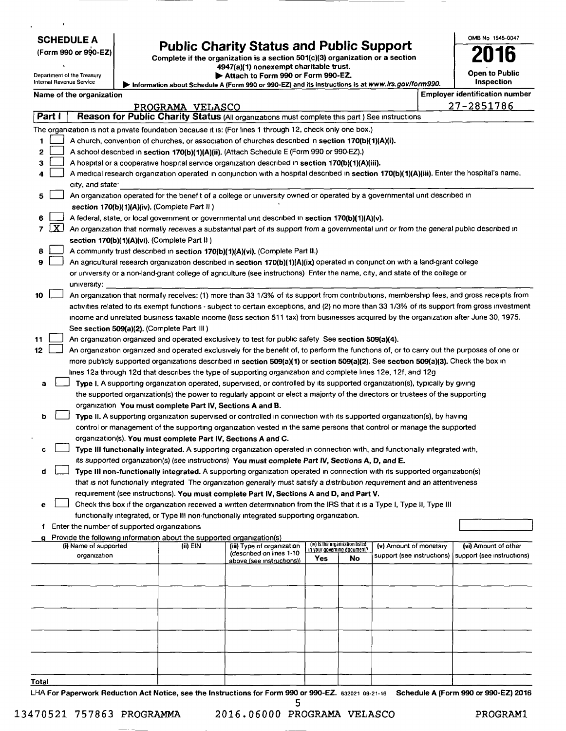| (Form 990 or 990-EZ) |  |  |  |
|----------------------|--|--|--|
|----------------------|--|--|--|

# SCHEDULE A **Public Charity Status and Public Support**  $\begin{array}{r} \text{OMB No 1545-0047} \\ \text{Common 990 or 990-EZ)} \\ \text{Complete if the organization is a section 501(c)(3) organization or a section} \end{array}$

4947(a)(1) nonexempt charitable trust.

Department of the Treasury **light of the Treasury <b>light** Attach to Form 990 or Form 990-EZ.<br>Internal Revenue Service

Information about Schedule A (Form 990 or 990-EZ) and its instructions is at www.lrs.gov/form990.

| OMB No 1545-0047      |
|-----------------------|
|                       |
| '016                  |
|                       |
| <b>Open to Public</b> |
| Inspection            |

Name of the organization **Employer identification** number

|       |                                                                                                         | name or me organization                                                                                                                       | PROGRAMA VELASCO |                                                        |     |                                 |                        |  | 27-2851786                                                                      |
|-------|---------------------------------------------------------------------------------------------------------|-----------------------------------------------------------------------------------------------------------------------------------------------|------------------|--------------------------------------------------------|-----|---------------------------------|------------------------|--|---------------------------------------------------------------------------------|
|       | Part I<br>Reason for Public Charity Status (All organizations must complete this part) See instructions |                                                                                                                                               |                  |                                                        |     |                                 |                        |  |                                                                                 |
|       |                                                                                                         | The organization is not a private foundation because it is: (For lines 1 through 12, check only one box.)                                     |                  |                                                        |     |                                 |                        |  |                                                                                 |
| 1     | A church, convention of churches, or association of churches described in section 170(b)(1)(A)(i).      |                                                                                                                                               |                  |                                                        |     |                                 |                        |  |                                                                                 |
| 2     | A school described in section 170(b)(1)(A)(ii). (Attach Schedule E (Form 990 or 990-EZ).)               |                                                                                                                                               |                  |                                                        |     |                                 |                        |  |                                                                                 |
| З     | A hospital or a cooperative hospital service organization described in section 170(b)(1)(A)(iii).       |                                                                                                                                               |                  |                                                        |     |                                 |                        |  |                                                                                 |
| 4     |                                                                                                         | A medical research organization operated in conjunction with a hospital described in section 170(b)(1)(A)(iii). Enter the hospital's name,    |                  |                                                        |     |                                 |                        |  |                                                                                 |
|       |                                                                                                         | city, and state.                                                                                                                              |                  |                                                        |     |                                 |                        |  |                                                                                 |
| 5     |                                                                                                         | An organization operated for the benefit of a college or university owned or operated by a governmental unit described in                     |                  |                                                        |     |                                 |                        |  |                                                                                 |
|       |                                                                                                         | section 170(b)(1)(A)(iv). (Complete Part II)                                                                                                  |                  |                                                        |     |                                 |                        |  |                                                                                 |
| 6     |                                                                                                         | A federal, state, or local government or governmental unit described in section 170(b)(1)(A)(v).                                              |                  |                                                        |     |                                 |                        |  |                                                                                 |
| 7     | $\lfloor x \rfloor$                                                                                     | An organization that normally receives a substantial part of its support from a governmental unit or from the general public described in     |                  |                                                        |     |                                 |                        |  |                                                                                 |
|       |                                                                                                         | section 170(b)(1)(A)(vi). (Complete Part II)                                                                                                  |                  |                                                        |     |                                 |                        |  |                                                                                 |
| 8     |                                                                                                         | A community trust described in section 170(b)(1)(A)(vi). (Complete Part II.)                                                                  |                  |                                                        |     |                                 |                        |  |                                                                                 |
| 9     |                                                                                                         | An agricultural research organization described in section 170(b)(1)(A)(ix) operated in conjunction with a land-grant college                 |                  |                                                        |     |                                 |                        |  |                                                                                 |
|       |                                                                                                         | or university or a non-land-grant college of agriculture (see instructions) Enter the name, city, and state of the college or                 |                  |                                                        |     |                                 |                        |  |                                                                                 |
|       |                                                                                                         | university:                                                                                                                                   |                  |                                                        |     |                                 |                        |  |                                                                                 |
| 10    |                                                                                                         | An organization that normally receives: (1) more than 33 1/3% of its support from contributions, membership fees, and gross receipts from     |                  |                                                        |     |                                 |                        |  |                                                                                 |
|       |                                                                                                         | activities related to its exempt functions - subject to certain exceptions, and (2) no more than 33 1/3% of its support from gross investment |                  |                                                        |     |                                 |                        |  |                                                                                 |
|       |                                                                                                         | income and unrelated business taxable income (less section 511 tax) from businesses acquired by the organization after June 30, 1975.         |                  |                                                        |     |                                 |                        |  |                                                                                 |
|       |                                                                                                         | See section 509(a)(2). (Complete Part III)                                                                                                    |                  |                                                        |     |                                 |                        |  |                                                                                 |
| 11    |                                                                                                         | An organization organized and operated exclusively to test for public safety See section 509(a)(4).                                           |                  |                                                        |     |                                 |                        |  |                                                                                 |
| 12    |                                                                                                         | An organization organized and operated exclusively for the benefit of, to perform the functions of, or to carry out the purposes of one or    |                  |                                                        |     |                                 |                        |  |                                                                                 |
|       |                                                                                                         | more publicly supported organizations described in section 509(a)(1) or section 509(a)(2). See section 509(a)(3). Check the box in            |                  |                                                        |     |                                 |                        |  |                                                                                 |
|       |                                                                                                         | lines 12a through 12d that describes the type of supporting organization and complete lines 12e, 12f, and 12g                                 |                  |                                                        |     |                                 |                        |  |                                                                                 |
| a     |                                                                                                         | Type I. A supporting organization operated, supervised, or controlled by its supported organization(s), typically by giving                   |                  |                                                        |     |                                 |                        |  |                                                                                 |
|       |                                                                                                         | the supported organization(s) the power to regularly appoint or elect a majority of the directors or trustees of the supporting               |                  |                                                        |     |                                 |                        |  |                                                                                 |
|       |                                                                                                         | organization You must complete Part IV, Sections A and B.                                                                                     |                  |                                                        |     |                                 |                        |  |                                                                                 |
| b     |                                                                                                         | Type II. A supporting organization supervised or controlled in connection with its supported organization(s), by having                       |                  |                                                        |     |                                 |                        |  |                                                                                 |
|       |                                                                                                         | control or management of the supporting organization vested in the same persons that control or manage the supported                          |                  |                                                        |     |                                 |                        |  |                                                                                 |
|       |                                                                                                         | organization(s). You must complete Part IV, Sections A and C.                                                                                 |                  |                                                        |     |                                 |                        |  |                                                                                 |
| c     |                                                                                                         | Type III functionally integrated. A supporting organization operated in connection with, and functionally integrated with,                    |                  |                                                        |     |                                 |                        |  |                                                                                 |
|       |                                                                                                         | its supported organization(s) (see instructions) You must complete Part IV, Sections A, D, and E.                                             |                  |                                                        |     |                                 |                        |  |                                                                                 |
| d     |                                                                                                         | Type III non-functionally integrated. A supporting organization operated in connection with its supported organization(s)                     |                  |                                                        |     |                                 |                        |  |                                                                                 |
|       |                                                                                                         | that is not functionally integrated. The organization generally must satisfy a distribution requirement and an attentiveness                  |                  |                                                        |     |                                 |                        |  |                                                                                 |
|       |                                                                                                         | requirement (see instructions). You must complete Part IV, Sections A and D, and Part V.                                                      |                  |                                                        |     |                                 |                        |  |                                                                                 |
| е     |                                                                                                         | Check this box if the organization received a written determination from the IRS that it is a Type I, Type II, Type III                       |                  |                                                        |     |                                 |                        |  |                                                                                 |
|       |                                                                                                         | functionally integrated, or Type III non-functionally integrated supporting organization.                                                     |                  |                                                        |     |                                 |                        |  |                                                                                 |
|       |                                                                                                         | Enter the number of supported organizations                                                                                                   |                  |                                                        |     |                                 |                        |  |                                                                                 |
|       |                                                                                                         | Provide the following information about the supported organization(s)                                                                         |                  |                                                        |     | (iv) Is the organization listed |                        |  |                                                                                 |
|       |                                                                                                         | (i) Name of supported<br>organization                                                                                                         | $(ii)$ EIN       | (iii) Type of organization<br>(described on lines 1-10 |     | in your governing document?     | (v) Amount of monetary |  | (vi) Amount of other<br>support (see instructions)   support (see instructions) |
|       |                                                                                                         |                                                                                                                                               |                  | above (see instructions))                              | Yes | No                              |                        |  |                                                                                 |
|       |                                                                                                         |                                                                                                                                               |                  |                                                        |     |                                 |                        |  |                                                                                 |
|       |                                                                                                         |                                                                                                                                               |                  |                                                        |     |                                 |                        |  |                                                                                 |
|       |                                                                                                         |                                                                                                                                               |                  |                                                        |     |                                 |                        |  |                                                                                 |
|       |                                                                                                         |                                                                                                                                               |                  |                                                        |     |                                 |                        |  |                                                                                 |
|       |                                                                                                         |                                                                                                                                               |                  |                                                        |     |                                 |                        |  |                                                                                 |
|       |                                                                                                         |                                                                                                                                               |                  |                                                        |     |                                 |                        |  |                                                                                 |
|       |                                                                                                         |                                                                                                                                               |                  |                                                        |     |                                 |                        |  |                                                                                 |
|       |                                                                                                         |                                                                                                                                               |                  |                                                        |     |                                 |                        |  |                                                                                 |
|       |                                                                                                         |                                                                                                                                               |                  |                                                        |     |                                 |                        |  |                                                                                 |
| Total |                                                                                                         |                                                                                                                                               |                  |                                                        |     |                                 |                        |  |                                                                                 |
|       |                                                                                                         | LHA For Paperwork Reduction Act Notice, see the Instructions for Form 990 or 990-EZ. 632021 09-21-16 Schedule A (Form 990 or 990-EZ) 2016     |                  |                                                        |     |                                 |                        |  |                                                                                 |

5 13470521 757863 PROGRAMMA 2016.06000 PROGRAMA VELASCO PROGRAM!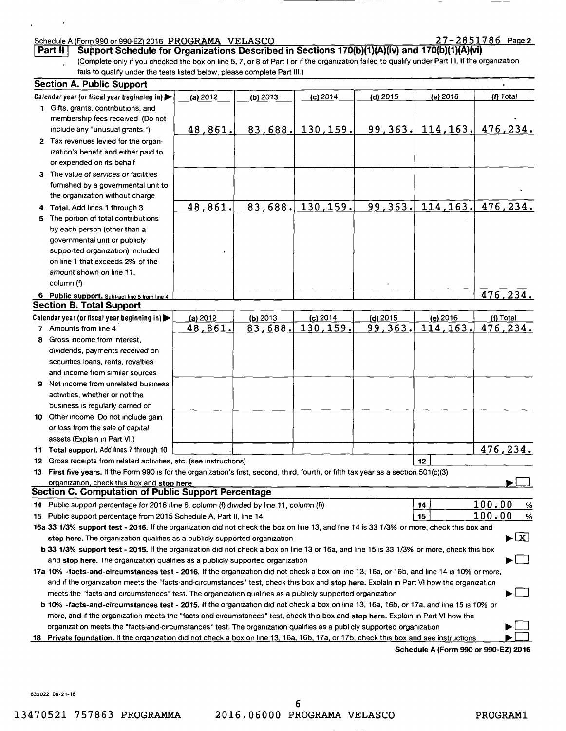### Schedule A (Form 990 or 990-EZ) 2016 PROGRAMA VELASCO 2 7 2 7 2 8 5 1 7 8 6 Page 2

 $\mathbf{r}$ 

 $\ddot{\phantom{0}}$ 

| Part II   Support Schedule for Organizations Described in Sections 170(b)(1)(A)(iv) and 170(b)(1)(A)(vi)                                        |
|-------------------------------------------------------------------------------------------------------------------------------------------------|
| (Complete only if you checked the box on line 5, 7, or 8 of Part I or if the organization failed to qualify under Part III. If the organization |
| fails to qualify under the tests listed below, please complete Part III.)                                                                       |

|    | <b>Section A. Public Support</b>                                                                                                           |                |            |                     |            |                                      |                         |
|----|--------------------------------------------------------------------------------------------------------------------------------------------|----------------|------------|---------------------|------------|--------------------------------------|-------------------------|
|    | Calendar year (or fiscal year beginning in)                                                                                                | (a) 2012       | (b) $2013$ | (c) 2014            | (d) $2015$ | (e) $2016$                           | (f) Total               |
|    | 1 Gifts, grants, contributions, and                                                                                                        |                |            |                     |            |                                      |                         |
|    | membership fees received (Do not                                                                                                           |                |            |                     |            |                                      |                         |
|    | include any "unusual grants.")                                                                                                             | 48,861.        |            | $83,688.$ 130, 159. |            | 99, 363, 114, 163.                   | 476,234.                |
|    | 2 Tax revenues levied for the organ-                                                                                                       |                |            |                     |            |                                      |                         |
|    | ization's benefit and either paid to                                                                                                       |                |            |                     |            |                                      |                         |
|    | or expended on its behalf                                                                                                                  |                |            |                     |            |                                      |                         |
|    | 3 The value of services or facilities                                                                                                      |                |            |                     |            |                                      |                         |
|    | furnished by a governmental unit to                                                                                                        |                |            |                     |            |                                      |                         |
|    | the organization without charge                                                                                                            |                |            |                     |            |                                      |                         |
| 4. | Total, Add lines 1 through 3                                                                                                               | 48,861.        | 83,688.    | 130,159.            | 99,363.    | 114, 163.                            | 476, 234.               |
| 5  | The portion of total contributions                                                                                                         |                |            |                     |            |                                      |                         |
|    | by each person (other than a                                                                                                               |                |            |                     |            |                                      |                         |
|    | governmental unit or publicly                                                                                                              |                |            |                     |            |                                      |                         |
|    | supported organization) included                                                                                                           |                |            |                     |            |                                      |                         |
|    | on line 1 that exceeds 2% of the                                                                                                           |                |            |                     |            |                                      |                         |
|    | amount shown on line 11,                                                                                                                   |                |            |                     |            |                                      |                         |
|    | column (f)                                                                                                                                 |                |            |                     |            |                                      |                         |
|    | 6 Public support. Subtract line 5 from line 4                                                                                              |                |            |                     |            |                                      | 476,234.                |
|    | <b>Section B. Total Support</b>                                                                                                            |                |            |                     |            |                                      |                         |
|    | Calendar year (or fiscal year beginning in) $\blacktriangleright$                                                                          | (a) $2012$     | $(b)$ 2013 | $(c)$ 2014          | (d) 2015   | (e) 2016                             | (f) Total               |
|    | 7 Amounts from line 4                                                                                                                      | <u>48,861.</u> | 83,688.    | 130,159.            | 99,363.    | 114,163.                             | 476,234.                |
| 8. | Gross income from interest,                                                                                                                |                |            |                     |            |                                      |                         |
|    | dividends, payments received on                                                                                                            |                |            |                     |            |                                      |                         |
|    | securities loans, rents, royalties                                                                                                         |                |            |                     |            |                                      |                         |
|    | and income from similar sources                                                                                                            |                |            |                     |            |                                      |                         |
| 9. | Net income from unrelated business                                                                                                         |                |            |                     |            |                                      |                         |
|    | activities, whether or not the                                                                                                             |                |            |                     |            |                                      |                         |
|    | business is regularly carried on                                                                                                           |                |            |                     |            |                                      |                         |
|    | 10 Other income Do not include gain                                                                                                        |                |            |                     |            |                                      |                         |
|    | or loss from the sale of capital                                                                                                           |                |            |                     |            |                                      |                         |
|    | assets (Explain in Part VI.)                                                                                                               |                |            |                     |            |                                      |                         |
|    | 11 Total support. Add lines 7 through 10                                                                                                   |                |            |                     |            |                                      | 476,234.                |
|    | 12 Gross receipts from related activities, etc. (see instructions)                                                                         |                |            |                     |            | 12                                   |                         |
|    | 13 First five years. If the Form 990 is for the organization's first, second, third, fourth, or fifth tax year as a section 501(c)(3)      |                |            |                     |            |                                      |                         |
|    | organization, check this box and stop here                                                                                                 |                |            |                     |            |                                      |                         |
|    | <b>Section C. Computation of Public Support Percentage</b>                                                                                 |                |            |                     |            |                                      |                         |
|    | 14 Public support percentage for 2016 (line 6, column (f) divided by line 11, column (f))                                                  |                |            |                     |            | 14                                   | 100.00<br>$\frac{9}{6}$ |
|    | 15 Public support percentage from 2015 Schedule A, Part II, line 14                                                                        |                |            |                     |            | 15                                   | 100.00<br>$\%$          |
|    | 16a 33 1/3% support test - 2016. If the organization did not check the box on line 13, and line 14 is 33 1/3% or more, check this box and  |                |            |                     |            |                                      |                         |
|    | stop here. The organization qualifies as a publicly supported organization                                                                 |                |            |                     |            |                                      | ►lx]                    |
|    | b 33 1/3% support test - 2015. If the organization did not check a box on line 13 or 16a, and line 15 is 33 1/3% or more, check this box   |                |            |                     |            |                                      |                         |
|    | and stop here. The organization qualifies as a publicly supported organization                                                             |                |            |                     |            |                                      |                         |
|    | 17a 10% -facts-and-circumstances test - 2016. If the organization did not check a box on line 13, 16a, or 16b, and line 14 is 10% or more, |                |            |                     |            |                                      |                         |
|    | and if the organization meets the "facts-and-circumstances" test, check this box and stop here. Explain in Part VI how the organization    |                |            |                     |            |                                      |                         |
|    | meets the "facts-and-circumstances" test. The organization qualifies as a publicly supported organization                                  |                |            |                     |            |                                      |                         |
|    | b 10% -facts-and-circumstances test - 2015. If the organization did not check a box on line 13, 16a, 16b, or 17a, and line 15 is 10% or    |                |            |                     |            |                                      |                         |
|    | more, and if the organization meets the "facts-and-circumstances" test, check this box and stop here. Explain in Part VI how the           |                |            |                     |            |                                      |                         |
|    | organization meets the "facts-and-circumstances" test. The organization qualifies as a publicly supported organization                     |                |            |                     |            |                                      |                         |
|    | 18 Private foundation. If the organization did not check a box on line 13, 16a, 16b, 17a, or 17b, check this box and see instructions      |                |            |                     |            | Schedule A (Form 990 or 990-EZ) 2016 |                         |
|    |                                                                                                                                            |                |            |                     |            |                                      |                         |

6 13470521 757863 PROGRAMMA 2016.06000 PROGRAMA VELASCO PROGRAMl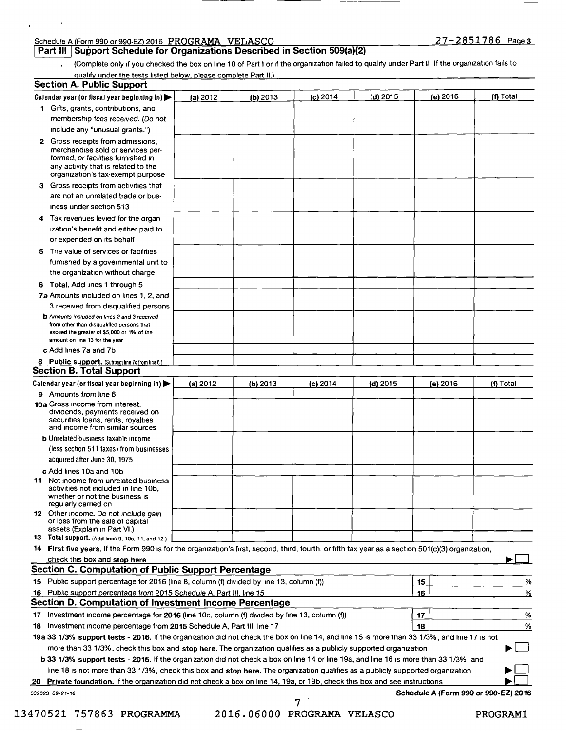#### Schedule A Form 990 or 990-EZ 2016 **PROGRAMA VELASCO** 2 7 - **2 8 51 7 8 6** Pa e **<sup>3</sup>**

 $\cdot$ 

Part III | Support Schedule for Organizations Described in Section 509(a)(2) **a** 

(Complete only if you checked the box on line 10 of Part I or if the organization failed to qualify under Part II If the organization fails to  $\mathbf{v}$ 

qualify under the tests listed below, please complete Part II.)

|    | <b>Section A. Public Support</b>                                                                                                                                                         |          |            |            |            |                                      |           |
|----|------------------------------------------------------------------------------------------------------------------------------------------------------------------------------------------|----------|------------|------------|------------|--------------------------------------|-----------|
|    | Calendar year (or fiscal year beginning in)                                                                                                                                              | (a) 2012 | $(b)$ 2013 | $(c)$ 2014 | $(d)$ 2015 | $(e)$ 2016                           | (f) Total |
|    | 1 Gifts, grants, contributions, and                                                                                                                                                      |          |            |            |            |                                      |           |
|    | membership fees received. (Do not                                                                                                                                                        |          |            |            |            |                                      |           |
|    | include any "unusual grants.")                                                                                                                                                           |          |            |            |            |                                      |           |
|    | 2 Gross receipts from admissions,<br>merchandise sold or services per-<br>formed, or facilities furnished in<br>any activity that is related to the<br>organization's tax-exempt purpose |          |            |            |            |                                      |           |
|    | 3 Gross receipts from activities that                                                                                                                                                    |          |            |            |            |                                      |           |
|    | are not an unrelated trade or bus-                                                                                                                                                       |          |            |            |            |                                      |           |
|    | iness under section 513                                                                                                                                                                  |          |            |            |            |                                      |           |
|    | 4 Tax revenues levied for the organ-                                                                                                                                                     |          |            |            |            |                                      |           |
|    | ization's benefit and either paid to<br>or expended on its behalf                                                                                                                        |          |            |            |            |                                      |           |
|    | 5 The value of services or facilities                                                                                                                                                    |          |            |            |            |                                      |           |
|    | furnished by a governmental unit to                                                                                                                                                      |          |            |            |            |                                      |           |
|    | the organization without charge                                                                                                                                                          |          |            |            |            |                                      |           |
|    | 6 Total. Add lines 1 through 5                                                                                                                                                           |          |            |            |            |                                      |           |
|    | 7a Amounts included on lines 1, 2, and                                                                                                                                                   |          |            |            |            |                                      |           |
|    | 3 received from disqualified persons                                                                                                                                                     |          |            |            |            |                                      |           |
|    | <b>b</b> Amounts Included on lines 2 and 3 received<br>from other than disqualified persons that<br>exceed the greater of \$5,000 or 1% of the<br>amount on line 13 for the year         |          |            |            |            |                                      |           |
|    | c Add lines 7a and 7b                                                                                                                                                                    |          |            |            |            |                                      |           |
|    | <b>8</b> Public support. (Subtract line 7c from line 6)                                                                                                                                  |          |            |            |            |                                      |           |
|    | <b>Section B. Total Support</b>                                                                                                                                                          |          |            |            |            |                                      |           |
|    | Calendar year (or fiscal year beginning in)                                                                                                                                              | (a) 2012 | $(b)$ 2013 | $(c)$ 2014 | $(d)$ 2015 | (e) 2016                             | (f) Total |
|    | 9 Amounts from line 6                                                                                                                                                                    |          |            |            |            |                                      |           |
|    | 10a Gross income from interest,<br>dividends, payments received on<br>securities loans, rents, royalties<br>and income from similar sources                                              |          |            |            |            |                                      |           |
|    | <b>b</b> Unrelated business taxable income                                                                                                                                               |          |            |            |            |                                      |           |
|    | (less section 511 taxes) from businesses                                                                                                                                                 |          |            |            |            |                                      |           |
|    | acquired after June 30, 1975                                                                                                                                                             |          |            |            |            |                                      |           |
|    | c Add lines 10a and 10b                                                                                                                                                                  |          |            |            |            |                                      |           |
| 11 | Net income from unrelated business<br>activities not included in line 10b,<br>Whether or not the business is<br>regularly carried on                                                     |          |            |            |            |                                      |           |
|    | 12 Other income. Do not include gain<br>or loss from the sale of capital<br>assets (Explain in Part VI.)                                                                                 |          |            |            |            |                                      |           |
|    | 13 Total support. (Add lines 9, 10c, 11, and 12)                                                                                                                                         |          |            |            |            |                                      |           |
|    | 14 First five years. If the Form 990 is for the organization's first, second, third, fourth, or fifth tax year as a section 501(c)(3) organization,                                      |          |            |            |            |                                      |           |
|    | check this box and stop here                                                                                                                                                             |          |            |            |            |                                      |           |
|    | Section C. Computation of Public Support Percentage                                                                                                                                      |          |            |            |            |                                      |           |
|    | 15 Public support percentage for 2016 (line 8, column (f) divided by line 13, column (f))                                                                                                |          |            |            |            | 15                                   | %         |
|    | 16 Public support percentage from 2015 Schedule A, Part III, line 15                                                                                                                     |          |            |            |            | 16                                   | %         |
|    | Section D. Computation of Investment Income Percentage                                                                                                                                   |          |            |            |            |                                      |           |
|    | 17 Investment income percentage for 2016 (line 10c, column (f) divided by line 13, column (f))                                                                                           |          |            |            |            | 17                                   | <u>%</u>  |
|    | 18 Investment income percentage from 2015 Schedule A, Part III, line 17                                                                                                                  |          |            |            |            | 18                                   | %         |
|    | 19a 33 1/3% support tests - 2016. If the organization did not check the box on line 14, and line 15 is more than 33 1/3%, and line 17 is not                                             |          |            |            |            |                                      |           |
|    | more than 33 1/3%, check this box and stop here. The organization qualifies as a publicly supported organization                                                                         |          |            |            |            |                                      |           |
|    | b 33 1/3% support tests - 2015. If the organization did not check a box on line 14 or line 19a, and line 16 is more than 33 1/3%, and                                                    |          |            |            |            |                                      |           |
|    | line 18 is not more than 33 1/3%, check this box and stop here. The organization qualifies as a publicly supported organization                                                          |          |            |            |            |                                      |           |
|    | 20 Private foundation. If the organization did not check a box on line 14, 19a, or 19b, check this box and see instructions                                                              |          |            |            |            |                                      |           |
|    | 632023 09-21-16                                                                                                                                                                          |          |            | 7          |            | Schedule A (Form 990 or 990-EZ) 2016 |           |

13470521 757863 **PROGRAMMA** 2016.06000 PROGRAMA VELASCO PROGRAMl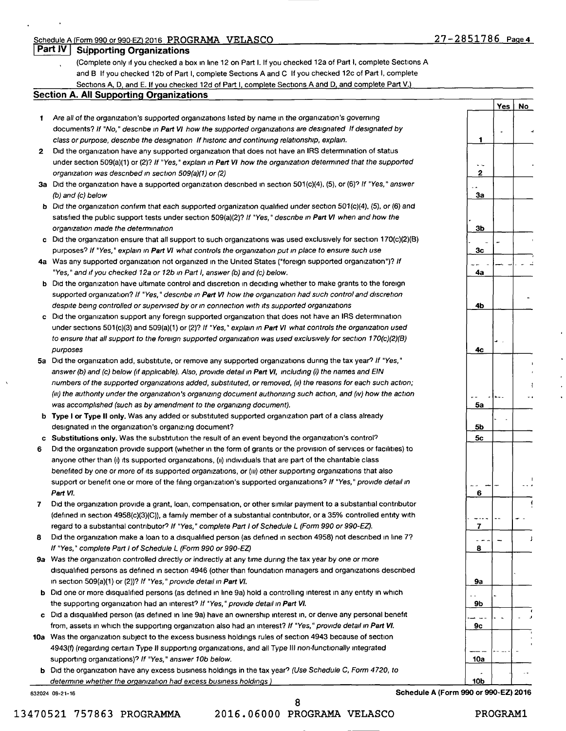#### Schedule A Form 990 or 990-EZ 2016 **PROGRAMA VELASCO**

**1** 

-- **2** 

-- **3a** 

. **3b** 

- - **3c** 

**Yes No** 

- | *+* 

- **Part IV Supporting Organizations** 
	- (Complete only ,f you checked a box in hne 12 on Part I. If you checked 12a of Part I, complete Sections **A**  and B If you checked 12b of Part I, complete Sections A and C If you checked 12c of Part I, complete Sections A, D, and E. If you checked 12d of Part I, complete Sections A and D, and complete Part V.)

#### **Section A. All Supporting Organizations**

- **1** Are all of the organization's supported organizations listed by name in the organization's governing documents? If "No," describe in Part VI how the supported organizations are designated If designated by class or purpose, descnbe the designation If histonc and continuing relationship, explain.
- 2 Did the organization have any supported organization that does not have an IRS determination of status under section 509(a)(1) or (2)? If "Yes," explain in Part VI how the organization determined that the supported organization was described in section 509(a)(1) or (2)
- **3a** Did the organization have a supported organization described in section 501(c)(4), (5), or (6)? If "Yes," answer (b) and (c) below
- **b** Did the organization confirm that each supported organization qualified under section 501(c)(4), (5), or (6) and satisfied the public support tests under section 509(a)(2)? If "Yes," describe in Part VI when and how the organization made the determination
- **C** D1d the organization ensure that all support to such organizations was used exclusively for section 170(c)(2)(B) purposes? If "Yes," explain in Part VI what controls the organization put in place to ensure such use
- 4a Was any supported organization not organized in the United States ("foreign supported organization")? If "Yes," and if you checked 12a or 12b in Part I, answer (b) and (c) below.
- b Did the organization have ultimate control and discretion in deciding whether to make grants to the foreign supported organization? If "Yes," describe in Part VI how the organization had such control and discretion despite being controlled or supervised by or in connection with its supported organizations
- c Did the organization support any foreign supported organization that does not have an IRS determination under sections 501(c)(3) and 509(a)(1) or (2)? If "Yes," explain in Part VI what controls the organization used to ensure that all support to the foreign supported organization was used exclusively for section 170(c)(2)(B) purposes
- **5a** D1d the organization add, substitute, or remove any supported organizations during the tax year? If "Yes," answer (b) and (c) below (if applicable). Also, provide detail in Part VI, including (i) the names and EIN numbers of the supported organizations added, substituted, or removed, *(ii)* the reasons for each such action; *(iii)* the authonty under the organization's organizing document authorizing such action, and *(iv)* how the action was accomplished (such as by amendment to the organizing document).
- b **Type** I **or Type** II **only.** Was any added or substituted supported organization part of a class already designated in the organization's organizing document?
- c Substitutions only. Was the substitution the result of an event beyond the organization's control?
- 6 Did the organization provide support (whether in the form of grants or the provision of services or facilities) to anyone other than (i) its supported organizations, (ii) individuals that are part of the charitable class benefited by one or more of its supported organizations, or (iii) other supporting organizations that also support or benefit one or more of the filing organization's supported organizations? If "Yes," provide detail in **Part VI.**
- 7 Did the organization provide a grant, loan, compensation, or other similar payment to a substantial contributor (defined in section 4958(c)(3)(C)), a family member of a substantial contributor, or a 35% controlled entity with regard to a substantial contributor? If "Yes," complete Part I of Schedule L (Form 990 or 990-EZ).
- 8 Did the organization make a loan to a disqualified person (as defined in section 4958) not described in line 7? If "Yes," complete Part I of Schedule L (Form 990 or 990-EZ)
- **9a** Was the organization controlled directly or indirectly at any time during the tax year by one or more disqualified persons as defined in section 4946 (other than foundation managers and organizations described in section 509(a)(1) or (2))? If "Yes," provide detail in Part VI.
- **b** Did one or more disqualified persons (as defined in line 9a) hold a controlling interest in any entity in which the supporting organization had an interest? If "Yes," provide detail in Part VI.
- c Did a disqualified person (as defined in line 9a) have an ownership interest in, or derive any personal benefit from, assets in which the supporting organization also had an interest? If "Yes," provide detail in Part VI.
- **10a** Was the organization subject to the excess business holdings rules of section 4943 because of section 4943(f) (regarding certain Type II supporting organizations, and all Type III non-functionally integrated supporting organizations)? If "Yes," answer 10b below.
	- b Did the organization have any excess business holdings in the tax year? (Use Schedule C, Form 4720, to determine whether the organization had excess business holdings)

13470521 757863 PROGRAMMA 2016.06000 PROGRAMA VELASCO PROGRAM!

8

## 632024 09-21-16 Schedule A (Form 990 or **990-EZ) 2016**

-- - - -- - - **4a**  - **4b**  ~ **4c**  ' f -- ..... \_ - .. **5a 5b 5c**  I -- - - -- - **<sup>6</sup>** ! --~ - -- - - **7**  - - - - <sup>J</sup> **8 9a**  -- - **9b**  ' --- -- - - , **9c**  --- .,.\_ -- - - **10a**  . -- **10b**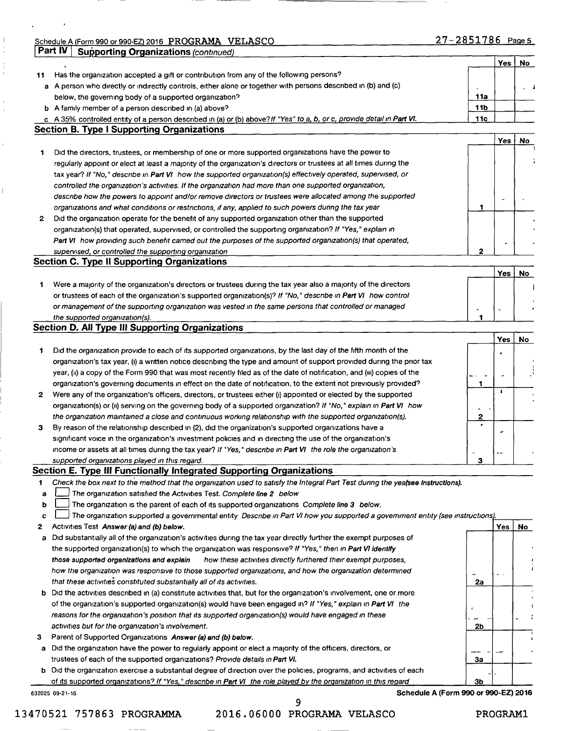2016 PROGRAMA VELASCO **2016** Page 5

 $\sim 10^{-10}$  m  $^{-1}$ 

 $\mathbf{r}$ 

 $\|$  $\frac{1}{4}$  $\frac{1}{4}$ 

 $\bar{1}$  $\bar{z}$ 

 $\hat{\mathbf{r}}$ 

 $\bar{\mathbb{L}}$ 

|    | Part IV<br><b>Supporting Organizations (continued)</b>                                                                          |                 |            |    |
|----|---------------------------------------------------------------------------------------------------------------------------------|-----------------|------------|----|
|    |                                                                                                                                 |                 | Yes        | No |
| 11 | Has the organization accepted a gift or contribution from any of the following persons?                                         |                 |            |    |
|    | a A person who directly or indirectly controls, either alone or together with persons described in (b) and (c)                  |                 |            |    |
|    | below, the governing body of a supported organization?                                                                          | <b>11a</b>      |            |    |
|    | b A family member of a person described in (a) above?                                                                           | 11 <sub>b</sub> |            |    |
|    | c A 35% controlled entity of a person described in (a) or (b) above? If "Yes" to a, b, or c, provide detail in Part VI.         | 11c             |            |    |
|    | <b>Section B. Type I Supporting Organizations</b>                                                                               |                 |            |    |
|    |                                                                                                                                 |                 | Yes        | No |
| 1  | Did the directors, trustees, or membership of one or more supported organizations have the power to                             |                 |            |    |
|    | regularly appoint or elect at least a majority of the organization's directors or trustees at all times during the              |                 |            |    |
|    | tax year? If "No," descnbe in Part VI how the supported organization(s) effectively operated, supervised, or                    |                 |            |    |
|    | controlled the organization's activities. If the organization had more than one supported organization,                         |                 |            |    |
|    | describe how the powers to appoint and/or remove directors or trustees were allocated among the supported                       |                 |            |    |
|    | organizations and what conditions or restrictions, if any, applied to such powers during the tax year                           | 1               |            |    |
| 2  | Did the organization operate for the benefit of any supported organization other than the supported                             |                 |            |    |
|    | organization(s) that operated, supervised, or controlled the supporting organization? If "Yes," explain in                      |                 |            |    |
|    | Part VI how providing such benefit carned out the purposes of the supported organization(s) that operated,                      |                 |            |    |
|    | supervised, or controlled the supporting organization                                                                           | 2               |            |    |
|    | <b>Section C. Type II Supporting Organizations</b>                                                                              |                 |            |    |
|    |                                                                                                                                 |                 | <b>Yes</b> | No |
| 1  | Were a majority of the organization's directors or trustees during the tax year also a majority of the directors                |                 |            |    |
|    | or trustees of each of the organization's supported organization(s)? If "No," describe in Part VI how control                   |                 |            |    |
|    | or management of the supporting organization was vested in the same persons that controlled or managed                          |                 |            |    |
|    | the supported organization(s).                                                                                                  | 1               |            |    |
|    | <b>Section D. All Type III Supporting Organizations</b>                                                                         |                 |            |    |
|    |                                                                                                                                 |                 | <b>Yes</b> | No |
| 1  | Did the organization provide to each of its supported organizations, by the last day of the fifth month of the                  |                 |            |    |
|    | organization's tax year, (i) a written notice describing the type and amount of support provided during the prior tax           |                 |            |    |
|    | year, (ii) a copy of the Form 990 that was most recently filed as of the date of notification, and (iii) copies of the          |                 |            |    |
|    | organization's governing documents in effect on the date of notification, to the extent not previously provided?                | 1               |            |    |
| 2  | Were any of the organization's officers, directors, or trustees either (i) appointed or elected by the supported                |                 | ÷          |    |
|    | organization(s) or (ii) serving on the governing body of a supported organization? If "No," explain in Part VI how              |                 |            |    |
|    | the organization maintained a close and continuous working relationship with the supported organization(s).                     | $\mathbf{2}$    |            |    |
| з  | By reason of the relationship described in (2), did the organization's supported organizations have a                           |                 |            |    |
|    | significant voice in the organization's investment policies and in directing the use of the organization's                      |                 | مد         |    |
|    | income or assets at all times during the tax year? If "Yes," describe in Part VI the role the organization's                    |                 |            |    |
|    | supported organizations played in this regard.                                                                                  | 3               | ۰.         |    |
|    | Section E. Type III Functionally Integrated Supporting Organizations                                                            |                 |            |    |
| 1  | Check the box next to the method that the organization used to satisfy the Integral Part Test during the yeafsee Instructions). |                 |            |    |
|    | The organization satisfied the Activities Test. Complete line 2 below                                                           |                 |            |    |
| a  |                                                                                                                                 |                 |            |    |
| b  | The organization is the parent of each of its supported organizations Complete line 3 below.                                    |                 |            |    |
| c  | The organization supported a governmental entity Describe in Part VI how you supported a government entity (see instructions).  |                 |            |    |
| 2  | Activities Test Answer (a) and (b) below.                                                                                       |                 | <b>Yes</b> | No |
| а  | Did substantially all of the organization's activities during the tax year directly further the exempt purposes of              |                 |            |    |
|    | the supported organization(s) to which the organization was responsive? If "Yes," then in Part VI identify                      |                 |            |    |
|    | those supported organizations and explain<br>how these activities directly furthered their exempt purposes,                     |                 |            |    |
|    | how the organization was responsive to those supported organizations, and how the organization determined                       |                 | $\sim$ .   |    |
|    | that these activities constituted substantially all of its activities.                                                          | 2а              |            |    |
| b  | Did the activities described in (a) constitute activities that, but for the organization's involvement, one or more             |                 |            |    |
|    | of the organization's supported organization(s) would have been engaged in? If "Yes," explain in Part VI the                    |                 |            |    |
|    | reasons for the organization's position that its supported organization(s) would have engaged in these                          |                 |            |    |
|    | activities but for the organization's involvement.                                                                              | 2b              |            |    |
| з  | Parent of Supported Organizations Answer (a) and (b) below.                                                                     |                 |            |    |
| а  | Did the organization have the power to regularly appoint or elect a majority of the officers, directors, or                     |                 |            |    |
|    | trustees of each of the supported organizations? Provide details in Part VI.                                                    | За              |            |    |
| b  | Did the organization exercise a substantial degree of direction over the policies, programs, and activities of each             |                 |            |    |
|    | of its supported organizations? If "Yes," describe in Part VI the role played by the organization in this regard                | Зb              |            |    |
|    | Schedule A (Form 990 or 990-EZ) 2016<br>632025 09-21-16                                                                         |                 |            |    |

9 13470521 757863 PROGRAMMA 2016.06000 PROGRAMA VELASCO PROGRAMl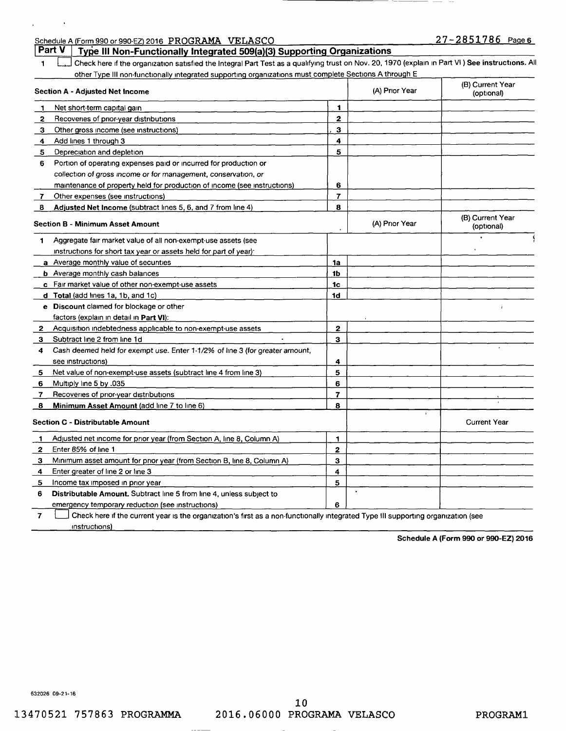| Schedule A (Form 990 or 990-EZ) 2016 PROGRAMA VELASCO                                                                                                  |                         |                | $27 - 2851786$ Page 6          |
|--------------------------------------------------------------------------------------------------------------------------------------------------------|-------------------------|----------------|--------------------------------|
| Part V<br>Type III Non-Functionally Integrated 509(a)(3) Supporting Organizations                                                                      |                         |                |                                |
| Check here if the organization satisfied the Integral Part Test as a qualifying trust on Nov. 20, 1970 (explain in Part VI) See instructions. All<br>1 |                         |                |                                |
| other Type III non-functionally integrated supporting organizations must complete Sections A through E                                                 |                         |                |                                |
| <b>Section A - Adjusted Net Income</b>                                                                                                                 |                         | (A) Prior Year | (B) Current Year<br>(optional) |
| Net short-term capital gain<br>1                                                                                                                       | 1                       |                |                                |
| Recoveries of prior-year distributions<br>2                                                                                                            | $\mathbf{z}$            |                |                                |
| Other gross income (see instructions)<br>З.                                                                                                            | 3                       |                |                                |
| Add lines 1 through 3<br>4                                                                                                                             | 4                       |                |                                |
| 5<br>Depreciation and depletion                                                                                                                        | 5                       |                |                                |
| Portion of operating expenses paid or incurred for production or<br>6                                                                                  |                         |                |                                |
| collection of gross income or for management, conservation, or                                                                                         |                         |                |                                |
| maintenance of property held for production of income (see instructions)                                                                               | 6                       |                |                                |
| Other expenses (see instructions)<br>$\mathbf{7}$                                                                                                      | $\overline{ }$          |                |                                |
| Adjusted Net Income (subtract lines 5, 6, and 7 from line 4)<br>8                                                                                      | 8                       |                |                                |
| <b>Section B - Minimum Asset Amount</b>                                                                                                                |                         | (A) Prior Year | (B) Current Year<br>(optional) |
| Aggregate fair market value of all non-exempt-use assets (see<br>1                                                                                     |                         |                |                                |
| instructions for short tax year or assets held for part of year).                                                                                      |                         |                |                                |
| a Average monthly value of securities                                                                                                                  | 1a                      |                |                                |
| <b>b</b> Average monthly cash balances                                                                                                                 | 1b                      |                |                                |
| c Fair market value of other non-exempt-use assets                                                                                                     | 1c                      |                |                                |
| d Total (add lines 1a, 1b, and 1c)                                                                                                                     | 1d                      |                |                                |
| e Discount claimed for blockage or other                                                                                                               |                         |                | $\lambda$                      |
| factors (explain in detail in Part VI):                                                                                                                |                         |                |                                |
| Acquisition indebtedness applicable to non-exempt-use assets<br>$\mathbf{2}^-$                                                                         | 2                       |                |                                |
| Subtract line 2 from line 1d<br>З.                                                                                                                     | 3                       |                |                                |
| Cash deemed held for exempt use. Enter 1-1/2% of line 3 (for greater amount,<br>4                                                                      |                         |                |                                |
| see instructions)                                                                                                                                      | 4                       |                |                                |
| Net value of non-exempt-use assets (subtract line 4 from line 3)<br>5                                                                                  | 5                       |                |                                |
| Multiply line 5 by .035<br>6                                                                                                                           | 6                       |                |                                |
| Recoveries of prior-year distributions<br>7                                                                                                            | $\overline{\mathbf{z}}$ |                |                                |
| Minimum Asset Amount (add line 7 to line 6)<br>8                                                                                                       | 8                       |                |                                |
| <b>Section C - Distributable Amount</b>                                                                                                                |                         |                | <b>Current Year</b>            |
| Adjusted net income for prior year (from Section A, line 8, Column A)<br>-1                                                                            | 1                       |                |                                |
| Enter 85% of line 1<br>2                                                                                                                               | 2                       |                |                                |
| Minimum asset amount for prior year (from Section B, line 8, Column A)<br>3                                                                            | 3                       |                |                                |
| Enter greater of line 2 or line 3<br>4                                                                                                                 | 4                       |                |                                |
| Income tax imposed in prior year<br>5                                                                                                                  | 5                       |                |                                |
| Distributable Amount. Subtract line 5 from line 4, unless subject to<br>6                                                                              |                         |                |                                |
| emergency temporary reduction (see instructions)                                                                                                       | 6                       |                |                                |
| $\overline{7}$<br>Check here if the current year is the organization's first as a non-functionally integrated Type III supporting organization (see    |                         |                |                                |

instructions)

 $\mathcal{L}(\mathcal{L})$  and  $\mathcal{L}(\mathcal{L})$  .

 $\bar{A}$ 

**Schedule A (Form 990 or 990-EZ) 2016** 

632026 09-21-16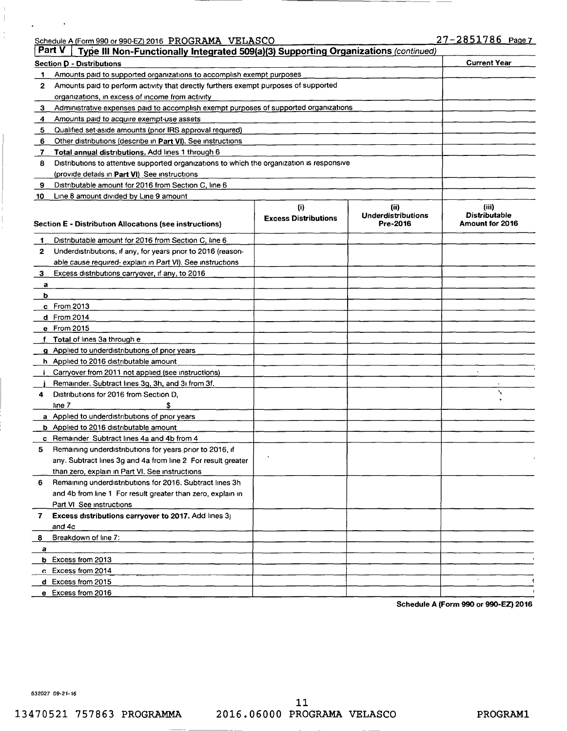|   | Schedule A (Form 990 or 990-EZ) 2016 PROGRAMA VELASCO                                         | 27-2851786 F        |
|---|-----------------------------------------------------------------------------------------------|---------------------|
|   | Part V<br>Type III Non-Functionally Integrated 509(a)(3) Supporting Organizations (continued) |                     |
|   | <b>Section D - Distributions</b>                                                              | <b>Current Year</b> |
|   | Amounts paid to supported organizations to accomplish exempt purposes                         |                     |
| 2 | Amounts paid to perform activity that directly furthers exempt purposes of supported          |                     |
|   | organizations, in excess of income from activity                                              |                     |
|   | Administrative expenses paid to accomplish exempt purposes of supported organizations         |                     |
|   | Amounts paid to acquire exempt-use assets                                                     |                     |
| 5 | Qualified set-aside amounts (prior IRS approval required)                                     |                     |
| 6 | Other distributions (describe in Part VI). See instructions                                   |                     |
|   | Total annual distributions. Add lines 1 through 6                                             |                     |
| 8 | Distributions to attentive supported organizations to which the organization is responsive    |                     |
|   | (provide details in Part VI) See instructions                                                 |                     |

| 9            | Distributable amount for 2016 from Section C, line 6                                                                      |                                    |                                               |                                                  |
|--------------|---------------------------------------------------------------------------------------------------------------------------|------------------------------------|-----------------------------------------------|--------------------------------------------------|
| 10           | Line 8 amount divided by Line 9 amount                                                                                    |                                    |                                               |                                                  |
|              | <b>Section E - Distribution Allocations (see instructions)</b>                                                            | (i)<br><b>Excess Distributions</b> | (ii)<br><b>Underdistributions</b><br>Pre-2016 | (iii)<br><b>Distributable</b><br>Amount for 2016 |
| 1            | Distributable amount for 2016 from Section C, line 6                                                                      |                                    |                                               |                                                  |
| $\mathbf{2}$ | Underdistributions, if any, for years prior to 2016 (reason-<br>able cause required-explain in Part VI). See instructions |                                    |                                               |                                                  |
| 3            | Excess distributions carryover, if any, to 2016                                                                           |                                    |                                               |                                                  |
| a            |                                                                                                                           |                                    |                                               |                                                  |
| b            |                                                                                                                           |                                    |                                               |                                                  |
|              | c From 2013                                                                                                               |                                    |                                               |                                                  |
|              | d From 2014                                                                                                               |                                    |                                               |                                                  |
|              | e From 2015                                                                                                               |                                    |                                               |                                                  |
|              | f Total of lines 3a through e                                                                                             |                                    |                                               |                                                  |
|              | g Applied to underdistributions of prior years                                                                            |                                    |                                               |                                                  |
|              | h Applied to 2016 distributable amount                                                                                    |                                    |                                               |                                                  |
| j.           | Carryover from 2011 not applied (see instructions)                                                                        |                                    |                                               |                                                  |
|              | Remainder. Subtract lines 3g, 3h, and 3i from 3f.                                                                         |                                    |                                               |                                                  |
| 4            | Distributions for 2016 from Section D.                                                                                    |                                    |                                               | $\mathbf{v}$                                     |
|              | \$<br>line 7                                                                                                              |                                    |                                               |                                                  |
|              | a Applied to underdistributions of prior years                                                                            |                                    |                                               |                                                  |
|              | b Applied to 2016 distributable amount                                                                                    |                                    |                                               |                                                  |
|              | c Remainder Subtract lines 4a and 4b from 4                                                                               |                                    |                                               |                                                  |
| 5            | Remaining underdistributions for years prior to 2016, if                                                                  |                                    |                                               |                                                  |
|              | any. Subtract lines 3g and 4a from line 2 For result greater                                                              |                                    |                                               |                                                  |
|              | than zero, explain in Part VI. See instructions                                                                           |                                    |                                               |                                                  |
| 6            | Remaining underdistributions for 2016. Subtract lines 3h                                                                  |                                    |                                               |                                                  |
|              | and 4b from line 1 For result greater than zero, explain in                                                               |                                    |                                               |                                                  |
|              | Part VI See instructions                                                                                                  |                                    |                                               |                                                  |
| 7            | <b>Excess distributions carryover to 2017.</b> Add lines 3<br>and 4c                                                      |                                    |                                               |                                                  |
| 8            | Breakdown of line 7:                                                                                                      |                                    |                                               |                                                  |
| a            |                                                                                                                           |                                    |                                               |                                                  |
|              | <b>b</b> Excess from 2013                                                                                                 |                                    |                                               |                                                  |
|              | c Excess from 2014                                                                                                        |                                    |                                               |                                                  |
|              | d Excess from 2015                                                                                                        |                                    |                                               | $\Delta$                                         |
|              | e Excess from 2016                                                                                                        |                                    |                                               |                                                  |

**Schedule A (Form 990 or 990-EZ) 2016** 

632027 09-21-16

 $\begin{array}{c} \hline \end{array}$ 

Schedule 27-2851786 Page 7<br>United A (Form 1990)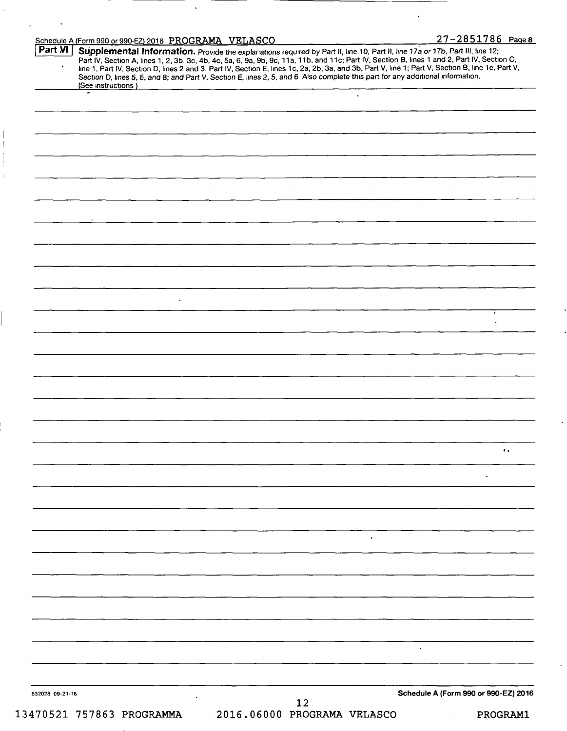| Part VI         | Schedule A (Form 990 or 990-EZ) 2016 PROGRAMA VELASCO                                                                                                                                                                                                                                                                                                                                                                                                                                                                   |                             |                |                                      | 27-2851786 Page 8 |  |
|-----------------|-------------------------------------------------------------------------------------------------------------------------------------------------------------------------------------------------------------------------------------------------------------------------------------------------------------------------------------------------------------------------------------------------------------------------------------------------------------------------------------------------------------------------|-----------------------------|----------------|--------------------------------------|-------------------|--|
|                 | Supplemental Information. Provide the explanations required by Part II, line 10, Part II, line 17a or 17b, Part III, line 12;<br>Part IV, Section A, lines 1, 2, 3b, 3c, 4b, 4c, 5a, 6, 9a, 9b, 9c, 11a, 11b, and 11c; Part IV, S<br>line 1, Part IV, Section D, lines 2 and 3, Part IV, Section E, lines 1c, 2a, 2b, 3a, and 3b, Part V, line 1; Part V, Section B, line 1e, Part V,<br>Section D, lines 5, 6, and 8; and Part V, Section E, lines 2, 5, and 6 Also complete this part for any additional information. |                             |                |                                      |                   |  |
|                 | (See instructions)<br>٠                                                                                                                                                                                                                                                                                                                                                                                                                                                                                                 |                             | $\blacksquare$ |                                      |                   |  |
|                 |                                                                                                                                                                                                                                                                                                                                                                                                                                                                                                                         |                             |                |                                      |                   |  |
|                 |                                                                                                                                                                                                                                                                                                                                                                                                                                                                                                                         |                             |                |                                      |                   |  |
|                 |                                                                                                                                                                                                                                                                                                                                                                                                                                                                                                                         |                             |                |                                      |                   |  |
|                 |                                                                                                                                                                                                                                                                                                                                                                                                                                                                                                                         |                             |                |                                      |                   |  |
|                 |                                                                                                                                                                                                                                                                                                                                                                                                                                                                                                                         |                             |                |                                      |                   |  |
|                 |                                                                                                                                                                                                                                                                                                                                                                                                                                                                                                                         |                             |                |                                      |                   |  |
|                 |                                                                                                                                                                                                                                                                                                                                                                                                                                                                                                                         |                             |                |                                      |                   |  |
|                 |                                                                                                                                                                                                                                                                                                                                                                                                                                                                                                                         |                             |                |                                      |                   |  |
|                 |                                                                                                                                                                                                                                                                                                                                                                                                                                                                                                                         |                             |                |                                      |                   |  |
|                 |                                                                                                                                                                                                                                                                                                                                                                                                                                                                                                                         |                             |                |                                      |                   |  |
|                 |                                                                                                                                                                                                                                                                                                                                                                                                                                                                                                                         |                             |                |                                      |                   |  |
|                 |                                                                                                                                                                                                                                                                                                                                                                                                                                                                                                                         |                             |                |                                      |                   |  |
|                 |                                                                                                                                                                                                                                                                                                                                                                                                                                                                                                                         |                             |                |                                      |                   |  |
|                 |                                                                                                                                                                                                                                                                                                                                                                                                                                                                                                                         |                             |                |                                      |                   |  |
|                 |                                                                                                                                                                                                                                                                                                                                                                                                                                                                                                                         |                             |                |                                      |                   |  |
|                 |                                                                                                                                                                                                                                                                                                                                                                                                                                                                                                                         |                             |                |                                      |                   |  |
|                 | $\sim$                                                                                                                                                                                                                                                                                                                                                                                                                                                                                                                  |                             |                |                                      |                   |  |
|                 |                                                                                                                                                                                                                                                                                                                                                                                                                                                                                                                         |                             |                |                                      | ٠<br>$\mathbf{r}$ |  |
|                 |                                                                                                                                                                                                                                                                                                                                                                                                                                                                                                                         |                             |                |                                      |                   |  |
|                 |                                                                                                                                                                                                                                                                                                                                                                                                                                                                                                                         |                             |                |                                      |                   |  |
|                 |                                                                                                                                                                                                                                                                                                                                                                                                                                                                                                                         |                             |                |                                      |                   |  |
|                 |                                                                                                                                                                                                                                                                                                                                                                                                                                                                                                                         |                             |                |                                      |                   |  |
|                 |                                                                                                                                                                                                                                                                                                                                                                                                                                                                                                                         |                             |                |                                      |                   |  |
|                 |                                                                                                                                                                                                                                                                                                                                                                                                                                                                                                                         |                             |                |                                      |                   |  |
|                 |                                                                                                                                                                                                                                                                                                                                                                                                                                                                                                                         |                             |                |                                      |                   |  |
|                 |                                                                                                                                                                                                                                                                                                                                                                                                                                                                                                                         |                             |                |                                      |                   |  |
|                 |                                                                                                                                                                                                                                                                                                                                                                                                                                                                                                                         |                             |                |                                      |                   |  |
|                 |                                                                                                                                                                                                                                                                                                                                                                                                                                                                                                                         |                             |                |                                      |                   |  |
|                 |                                                                                                                                                                                                                                                                                                                                                                                                                                                                                                                         |                             |                |                                      | $\bullet$ .       |  |
|                 |                                                                                                                                                                                                                                                                                                                                                                                                                                                                                                                         |                             |                |                                      |                   |  |
|                 |                                                                                                                                                                                                                                                                                                                                                                                                                                                                                                                         |                             |                |                                      |                   |  |
|                 |                                                                                                                                                                                                                                                                                                                                                                                                                                                                                                                         |                             |                |                                      |                   |  |
|                 |                                                                                                                                                                                                                                                                                                                                                                                                                                                                                                                         |                             |                |                                      |                   |  |
|                 |                                                                                                                                                                                                                                                                                                                                                                                                                                                                                                                         |                             |                |                                      |                   |  |
|                 |                                                                                                                                                                                                                                                                                                                                                                                                                                                                                                                         |                             | $\bullet$      |                                      |                   |  |
|                 |                                                                                                                                                                                                                                                                                                                                                                                                                                                                                                                         |                             |                |                                      |                   |  |
|                 |                                                                                                                                                                                                                                                                                                                                                                                                                                                                                                                         |                             |                |                                      |                   |  |
|                 |                                                                                                                                                                                                                                                                                                                                                                                                                                                                                                                         |                             |                |                                      |                   |  |
|                 |                                                                                                                                                                                                                                                                                                                                                                                                                                                                                                                         |                             |                |                                      |                   |  |
|                 |                                                                                                                                                                                                                                                                                                                                                                                                                                                                                                                         |                             |                |                                      |                   |  |
|                 |                                                                                                                                                                                                                                                                                                                                                                                                                                                                                                                         |                             |                |                                      |                   |  |
|                 |                                                                                                                                                                                                                                                                                                                                                                                                                                                                                                                         |                             |                |                                      |                   |  |
|                 |                                                                                                                                                                                                                                                                                                                                                                                                                                                                                                                         |                             |                |                                      |                   |  |
|                 |                                                                                                                                                                                                                                                                                                                                                                                                                                                                                                                         |                             |                |                                      |                   |  |
|                 |                                                                                                                                                                                                                                                                                                                                                                                                                                                                                                                         |                             |                |                                      |                   |  |
|                 |                                                                                                                                                                                                                                                                                                                                                                                                                                                                                                                         |                             |                |                                      |                   |  |
|                 |                                                                                                                                                                                                                                                                                                                                                                                                                                                                                                                         |                             |                | Schedule A (Form 990 or 990-EZ) 2016 |                   |  |
| 632028 09-21-16 |                                                                                                                                                                                                                                                                                                                                                                                                                                                                                                                         | 12                          |                |                                      |                   |  |
|                 | 13470521 757863 PROGRAMMA                                                                                                                                                                                                                                                                                                                                                                                                                                                                                               | 2016.06000 PROGRAMA VELASCO |                |                                      | PROGRAM1          |  |

 $\bar{\epsilon}$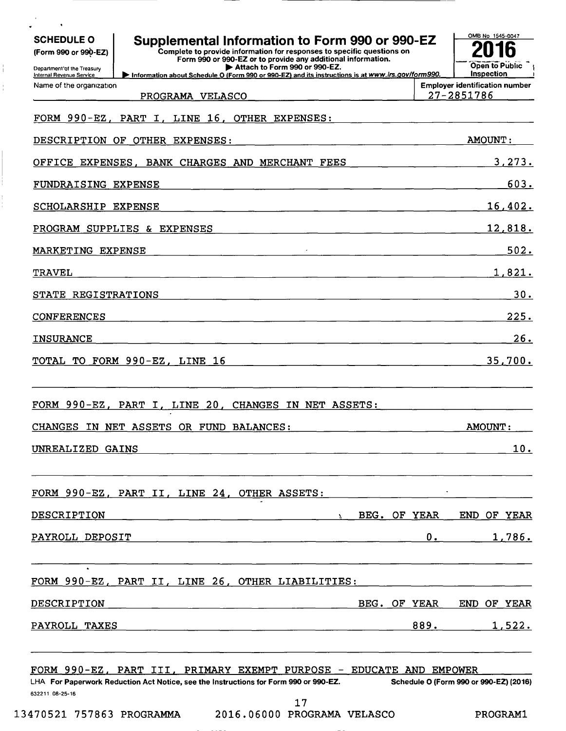| (Form 990 or 990-EZ)<br>Department'of the Treasury   | Supplemental Information to Form 990 or 990-EZ<br>Complete to provide information for responses to specific questions on<br>Form 990 or 990-EZ or to provide any additional information.<br>Attach to Form 990 or 990-EZ. |              | ĥ<br>Open to Public                                 |
|------------------------------------------------------|---------------------------------------------------------------------------------------------------------------------------------------------------------------------------------------------------------------------------|--------------|-----------------------------------------------------|
| Internal Revenue Service<br>Name of the organization | Information about Schedule O (Form 990 or 990-EZ) and its instructions is at www.irs.gov/form990.                                                                                                                         |              | Inspection<br><b>Employer identification number</b> |
|                                                      | PROGRAMA VELASCO                                                                                                                                                                                                          |              | 27-2851786                                          |
|                                                      | FORM 990-EZ, PART I, LINE 16, OTHER EXPENSES:                                                                                                                                                                             |              |                                                     |
|                                                      | DESCRIPTION OF OTHER EXPENSES:                                                                                                                                                                                            |              | <b>AMOUNT:</b>                                      |
|                                                      | OFFICE EXPENSES, BANK CHARGES AND MERCHANT FEES                                                                                                                                                                           |              | 3,273.                                              |
| FUNDRAISING EXPENSE                                  |                                                                                                                                                                                                                           |              | 603.                                                |
| SCHOLARSHIP EXPENSE                                  |                                                                                                                                                                                                                           |              | 16,402.                                             |
|                                                      | PROGRAM SUPPLIES & EXPENSES                                                                                                                                                                                               |              | 12,818.                                             |
| MARKETING EXPENSE                                    |                                                                                                                                                                                                                           |              | 502.                                                |
| <b>TRAVEL</b>                                        |                                                                                                                                                                                                                           |              | 1,821.                                              |
| STATE REGISTRATIONS                                  |                                                                                                                                                                                                                           |              | 30.                                                 |
| <b>CONFERENCES</b>                                   |                                                                                                                                                                                                                           |              | 225.                                                |
|                                                      |                                                                                                                                                                                                                           |              | 26.                                                 |
| <b>INSURANCE</b>                                     | TOTAL TO FORM 990-EZ, LINE 16                                                                                                                                                                                             |              |                                                     |
|                                                      | FORM 990-EZ, PART I, LINE 20,<br>CHANGES IN NET ASSETS:                                                                                                                                                                   |              |                                                     |
|                                                      | CHANGES IN NET ASSETS OR FUND BALANCES:                                                                                                                                                                                   |              | 35,700.<br><u>AMOUNT:</u>                           |
| UNREALIZED GAINS                                     |                                                                                                                                                                                                                           |              |                                                     |
|                                                      | FORM 990-EZ, PART II, LINE 24, OTHER ASSETS:                                                                                                                                                                              |              | <u>10.</u>                                          |
| DESCRIPTION                                          | $\Lambda$ and $\Lambda$                                                                                                                                                                                                   | BEG. OF YEAR |                                                     |
| PAYROLL DEPOSIT                                      |                                                                                                                                                                                                                           | 0.           | END OF YEAR<br>1,786.                               |
|                                                      | FORM 990-EZ, PART II, LINE 26, OTHER LIABILITIES:                                                                                                                                                                         |              |                                                     |
| DESCRIPTION                                          |                                                                                                                                                                                                                           | BEG. OF YEAR | END OF YEAR                                         |
| PAYROLL TAXES                                        |                                                                                                                                                                                                                           | 889.         | 1,522.                                              |

 $\frac{1}{1}$ 

 $\frac{1}{4}$